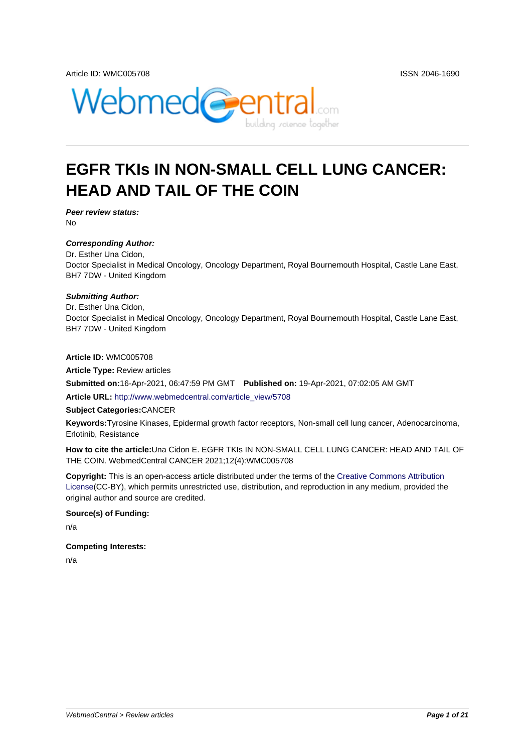

# **EGFR TKIs IN NON-SMALL CELL LUNG CANCER: HEAD AND TAIL OF THE COIN**

**Peer review status:** No

#### **Corresponding Author:**

Dr. Esther Una Cidon, Doctor Specialist in Medical Oncology, Oncology Department, Royal Bournemouth Hospital, Castle Lane East, BH7 7DW - United Kingdom

#### **Submitting Author:**

Dr. Esther Una Cidon, Doctor Specialist in Medical Oncology, Oncology Department, Royal Bournemouth Hospital, Castle Lane East, BH7 7DW - United Kingdom

**Article ID:** WMC005708

**Article Type:** Review articles

**Submitted on:**16-Apr-2021, 06:47:59 PM GMT **Published on:** 19-Apr-2021, 07:02:05 AM GMT

**Article URL:** http://www.webmedcentral.com/article\_view/5708

**Subject Categories:**CANCER

**Keywords:**Tyrosine Kinases, Epidermal growth factor receptors, Non-small cell lung cancer, Adenocarcinoma, Erlotinib, Res[istance](http://www.webmedcentral.com/article_view/5708)

**How to cite the article:**Una Cidon E. EGFR TKIs IN NON-SMALL CELL LUNG CANCER: HEAD AND TAIL OF THE COIN. WebmedCentral CANCER 2021;12(4):WMC005708

**Copyright:** This is an open-access article distributed under the terms of the Creative Commons Attribution License(CC-BY), which permits unrestricted use, distribution, and reproduction in any medium, provided the original author and source are credited.

#### **Source(s) of Funding:**

[n/a](http://creativecommons.org/licenses/by/3.0/)

#### **Competing Interests:**

n/a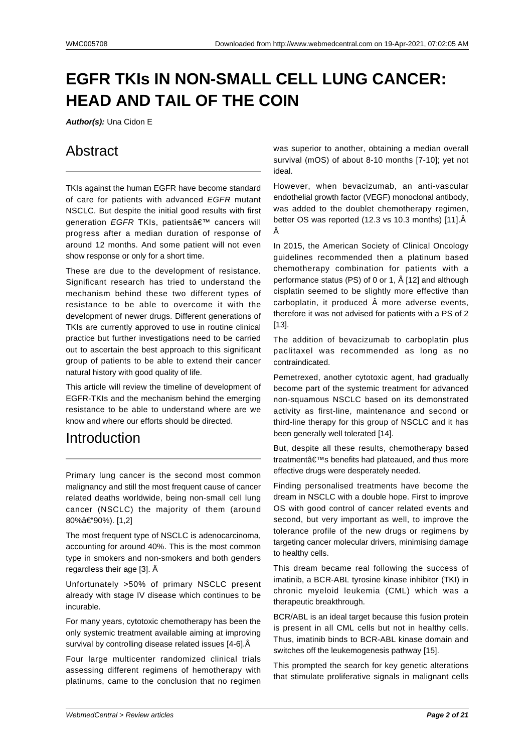# **EGFR TKIs IN NON-SMALL CELL LUNG CANCER: HEAD AND TAIL OF THE COIN**

**Author(s):** Una Cidon E

## Abstract

TKIs against the human EGFR have become standard of care for patients with advanced EGFR mutant NSCLC. But despite the initial good results with first generation EGFR TKIs, patients' cancers will progress after a median duration of response of around 12 months. And some patient will not even show response or only for a short time.

These are due to the development of resistance. Significant research has tried to understand the mechanism behind these two different types of resistance to be able to overcome it with the development of newer drugs. Different generations of TKIs are currently approved to use in routine clinical practice but further investigations need to be carried out to ascertain the best approach to this significant group of patients to be able to extend their cancer natural history with good quality of life.

This article will review the timeline of development of EGFR-TKIs and the mechanism behind the emerging resistance to be able to understand where are we know and where our efforts should be directed.

## Introduction

Primary lung cancer is the second most common malignancy and still the most frequent cause of cancer related deaths worldwide, being non-small cell lung cancer (NSCLC) the majority of them (around 80%–90%). [1,2]

The most frequent type of NSCLC is adenocarcinoma, accounting for around 40%. This is the most common type in smokers and non-smokers and both genders regardless their age [3]. Â

Unfortunately >50% of primary NSCLC present already with stage IV disease which continues to be incurable.

For many years, cytotoxic chemotherapy has been the only systemic treatment available aiming at improving survival by controlling disease related issues [4-6]. Â

Four large multicenter randomized clinical trials assessing different regimens of hemotherapy with platinums, came to the conclusion that no regimen was superior to another, obtaining a median overall survival (mOS) of about 8-10 months [7-10]; yet not ideal.

However, when bevacizumab, an anti-vascular endothelial growth factor (VEGF) monoclonal antibody, was added to the doublet chemotherapy regimen, better OS was reported (12.3 vs 10.3 months) [11].Â Â

In 2015, the American Society of Clinical Oncology guidelines recommended then a platinum based chemotherapy combination for patients with a performance status (PS) of 0 or 1, Â [12] and although cisplatin seemed to be slightly more effective than carboplatin, it produced  $\hat{A}$  more adverse events, therefore it was not advised for patients with a PS of 2 [13].

The addition of bevacizumab to carboplatin plus paclitaxel was recommended as long as no contraindicated.

Pemetrexed, another cytotoxic agent, had gradually become part of the systemic treatment for advanced non-squamous NSCLC based on its demonstrated activity as first-line, maintenance and second or third-line therapy for this group of NSCLC and it has been generally well tolerated [14].

But, despite all these results, chemotherapy based treatment $\hat{a} \in \text{TM}$ s benefits had plateaued, and thus more effective drugs were desperately needed.

Finding personalised treatments have become the dream in NSCLC with a double hope. First to improve OS with good control of cancer related events and second, but very important as well, to improve the tolerance profile of the new drugs or regimens by targeting cancer molecular drivers, minimising damage to healthy cells.

This dream became real following the success of imatinib, a BCR-ABL tyrosine kinase inhibitor (TKI) in chronic myeloid leukemia (CML) which was a therapeutic breakthrough.

BCR/ABL is an ideal target because this fusion protein is present in all CML cells but not in healthy cells. Thus, imatinib binds to BCR-ABL kinase domain and switches off the leukemogenesis pathway [15].

This prompted the search for key genetic alterations that stimulate proliferative signals in malignant cells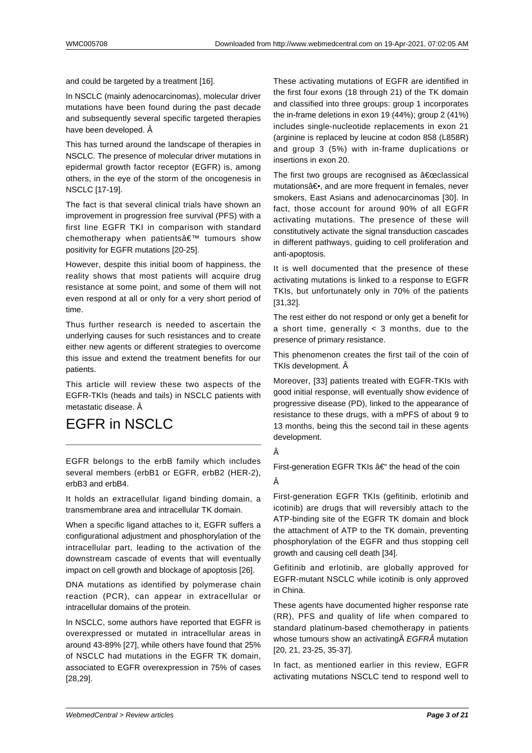and could be targeted by a treatment [16].

In NSCLC (mainly adenocarcinomas), molecular driver mutations have been found during the past decade and subsequently several specific targeted therapies have been developed. Â

This has turned around the landscape of therapies in NSCLC. The presence of molecular driver mutations in epidermal growth factor receptor (EGFR) is, among others, in the eye of the storm of the oncogenesis in NSCLC [17-19].

The fact is that several clinical trials have shown an improvement in progression free survival (PFS) with a first line EGFR TKI in comparison with standard chemotherapy when patients' tumours show positivity for EGFR mutations [20-25].

However, despite this initial boom of happiness, the reality shows that most patients will acquire drug resistance at some point, and some of them will not even respond at all or only for a very short period of time.

Thus further research is needed to ascertain the underlying causes for such resistances and to create either new agents or different strategies to overcome this issue and extend the treatment benefits for our patients.

This article will review these two aspects of the EGFR-TKIs (heads and tails) in NSCLC patients with metastatic disease. Â

## EGFR in NSCLC

EGFR belongs to the erbB family which includes several members (erbB1 or EGFR, erbB2 (HER-2), erbB3 and erbB4.

It holds an extracellular ligand binding domain, a transmembrane area and intracellular TK domain.

When a specific ligand attaches to it, EGFR suffers a configurational adjustment and phosphorylation of the intracellular part, leading to the activation of the downstream cascade of events that will eventually impact on cell growth and blockage of apoptosis [26].

DNA mutations as identified by polymerase chain reaction (PCR), can appear in extracellular or intracellular domains of the protein.

In NSCLC, some authors have reported that EGFR is overexpressed or mutated in intracellular areas in around 43-89% [27], while others have found that 25% of NSCLC had mutations in the EGFR TK domain, associated to EGFR overexpression in 75% of cases [28,29].

These activating mutations of EGFR are identified in the first four exons (18 through 21) of the TK domain and classified into three groups: group 1 incorporates the in-frame deletions in exon 19 (44%); group 2 (41%) includes single-nucleotide replacements in exon 21 (arginine is replaced by leucine at codon 858 (L858R) and group 3 (5%) with in-frame duplications or insertions in exon 20.

The first two groups are recognised as  $a \in \mathbb{C}$  classical mutations―, and are more frequent in females, never smokers, East Asians and adenocarcinomas [30]. In fact, those account for around 90% of all EGFR activating mutations. The presence of these will constitutively activate the signal transduction cascades in different pathways, guiding to cell proliferation and anti-apoptosis.

It is well documented that the presence of these activating mutations is linked to a response to EGFR TKIs, but unfortunately only in 70% of the patients [31,32].

The rest either do not respond or only get a benefit for a short time, generally  $<$  3 months, due to the presence of primary resistance.

This phenomenon creates the first tail of the coin of TKIs development. Â

Moreover, [33] patients treated with EGFR-TKIs with good initial response, will eventually show evidence of progressive disease (PD), linked to the appearance of resistance to these drugs, with a mPFS of about 9 to 13 months, being this the second tail in these agents development.

#### Â

First-generation EGFR TKIs  $a \in$ " the head of the coin Â

First-generation EGFR TKIs (gefitinib, erlotinib and icotinib) are drugs that will reversibly attach to the ATP-binding site of the EGFR TK domain and block the attachment of ATP to the TK domain, preventing phosphorylation of the EGFR and thus stopping cell growth and causing cell death [34].

Gefitinib and erlotinib, are globally approved for EGFR-mutant NSCLC while icotinib is only approved in China.

These agents have documented higher response rate (RR), PFS and quality of life when compared to standard platinum-based chemotherapy in patients whose tumours show an activating EGFRÂ mutation [20, 21, 23-25, 35-37].

In fact, as mentioned earlier in this review, EGFR activating mutations NSCLC tend to respond well to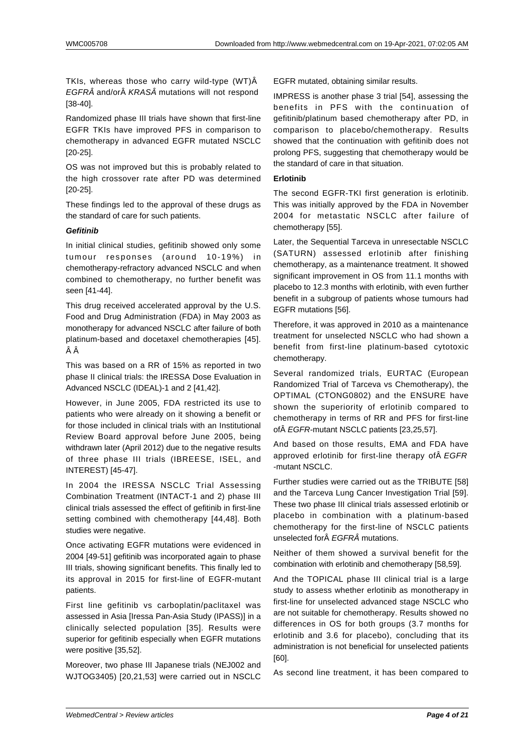TKIs, whereas those who carry wild-type (WT)Â EGFR and/or KRASÂ mutations will not respond [38-40].

Randomized phase III trials have shown that first-line EGFR TKIs have improved PFS in comparison to chemotherapy in advanced EGFR mutated NSCLC [20-25].

OS was not improved but this is probably related to the high crossover rate after PD was determined [20-25].

These findings led to the approval of these drugs as the standard of care for such patients.

#### **Gefitinib**

In initial clinical studies, gefitinib showed only some tumour responses (around 10-19%) in chemotherapy-refractory advanced NSCLC and when combined to chemotherapy, no further benefit was seen [41-44].

This drug received accelerated approval by the U.S. Food and Drug Administration (FDA) in May 2003 as monotherapy for advanced NSCLC after failure of both platinum-based and docetaxel chemotherapies [45]. ÂÂ

This was based on a RR of 15% as reported in two phase II clinical trials: the IRESSA Dose Evaluation in Advanced NSCLC (IDEAL)-1 and 2 [41,42].

However, in June 2005, FDA restricted its use to patients who were already on it showing a benefit or for those included in clinical trials with an Institutional Review Board approval before June 2005, being withdrawn later (April 2012) due to the negative results of three phase III trials (IBREESE, ISEL, and INTEREST) [45-47].

In 2004 the IRESSA NSCLC Trial Assessing Combination Treatment (INTACT-1 and 2) phase III clinical trials assessed the effect of gefitinib in first-line setting combined with chemotherapy [44,48]. Both studies were negative.

Once activating EGFR mutations were evidenced in 2004 [49-51] gefitinib was incorporated again to phase III trials, showing significant benefits. This finally led to its approval in 2015 for first-line of EGFR-mutant patients.

First line gefitinib vs carboplatin/paclitaxel was assessed in Asia [Iressa Pan-Asia Study (IPASS)] in a clinically selected population [35]. Results were superior for gefitinib especially when EGFR mutations were positive [35,52].

Moreover, two phase III Japanese trials (NEJ002 and WJTOG3405) [20,21,53] were carried out in NSCLC EGFR mutated, obtaining similar results.

IMPRESS is another phase 3 trial [54], assessing the benefits in PFS with the continuation of gefitinib/platinum based chemotherapy after PD, in comparison to placebo/chemotherapy. Results showed that the continuation with gefitinib does not prolong PFS, suggesting that chemotherapy would be the standard of care in that situation.

#### **Erlotinib**

The second EGFR-TKI first generation is erlotinib. This was initially approved by the FDA in November 2004 for metastatic NSCLC after failure of chemotherapy [55].

Later, the Sequential Tarceva in unresectable NSCLC (SATURN) assessed erlotinib after finishing chemotherapy, as a maintenance treatment. It showed significant improvement in OS from 11.1 months with placebo to 12.3 months with erlotinib, with even further benefit in a subgroup of patients whose tumours had EGFR mutations [56].

Therefore, it was approved in 2010 as a maintenance treatment for unselected NSCLC who had shown a benefit from first-line platinum-based cytotoxic chemotherapy.

Several randomized trials, EURTAC (European Randomized Trial of Tarceva vs Chemotherapy), the OPTIMAL (CTONG0802) and the ENSURE have shown the superiority of erlotinib compared to chemotherapy in terms of RR and PFS for first-line of EGFR-mutant NSCLC patients [23,25,57].

And based on those results, EMA and FDA have approved erlotinib for first-line therapy of  $\hat{A} E GFR$ -mutant NSCLC.

Further studies were carried out as the TRIBUTE [58] and the Tarceva Lung Cancer Investigation Trial [59]. These two phase III clinical trials assessed erlotinib or placebo in combination with a platinum-based chemotherapy for the first-line of NSCLC patients unselected for FGFRÂ mutations.

Neither of them showed a survival benefit for the combination with erlotinib and chemotherapy [58,59].

And the TOPICAL phase III clinical trial is a large study to assess whether erlotinib as monotherapy in first-line for unselected advanced stage NSCLC who are not suitable for chemotherapy. Results showed no differences in OS for both groups (3.7 months for erlotinib and 3.6 for placebo), concluding that its administration is not beneficial for unselected patients [60].

As second line treatment, it has been compared to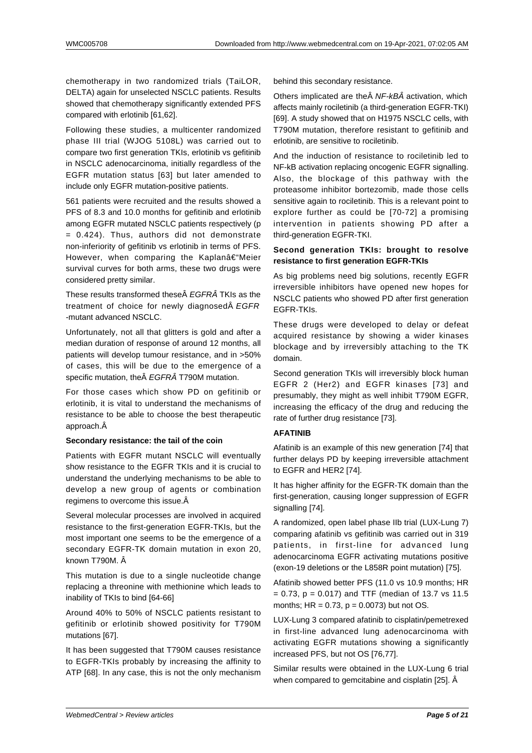chemotherapy in two randomized trials (TaiLOR, DELTA) again for unselected NSCLC patients. Results showed that chemotherapy significantly extended PFS compared with erlotinib [61,62].

Following these studies, a multicenter randomized phase III trial (WJOG 5108L) was carried out to compare two first generation TKIs, erlotinib vs gefitinib in NSCLC adenocarcinoma, initially regardless of the EGFR mutation status [63] but later amended to include only EGFR mutation-positive patients.

561 patients were recruited and the results showed a PFS of 8.3 and 10.0 months for gefitinib and erlotinib among EGFR mutated NSCLC patients respectively (p = 0.424). Thus, authors did not demonstrate non-inferiority of gefitinib vs erlotinib in terms of PFS. However, when comparing the Kaplanâ $\epsilon$ "Meier survival curves for both arms, these two drugs were considered pretty similar.

These results transformed these EGFRÂ TKIs as the treatment of choice for newly diagnosed EGFR -mutant advanced NSCLC.

Unfortunately, not all that glitters is gold and after a median duration of response of around 12 months, all patients will develop tumour resistance, and in >50% of cases, this will be due to the emergence of a specific mutation, the EGFRÂ T790M mutation.

For those cases which show PD on gefitinib or erlotinib, it is vital to understand the mechanisms of resistance to be able to choose the best therapeutic approach.

#### **Secondary resistance: the tail of the coin**

Patients with EGFR mutant NSCLC will eventually show resistance to the EGFR TKIs and it is crucial to understand the underlying mechanisms to be able to develop a new group of agents or combination regimens to overcome this issue.

Several molecular processes are involved in acquired resistance to the first-generation EGFR-TKIs, but the most important one seems to be the emergence of a secondary EGFR-TK domain mutation in exon 20, known T790M. Â

This mutation is due to a single nucleotide change replacing a threonine with methionine which leads to inability of TKIs to bind [64-66]

Around 40% to 50% of NSCLC patients resistant to gefitinib or erlotinib showed positivity for T790M mutations [67].

It has been suggested that T790M causes resistance to EGFR-TKIs probably by increasing the affinity to ATP [68]. In any case, this is not the only mechanism

behind this secondary resistance.

Others implicated are the NF-kBÂ activation, which affects mainly rociletinib (a third-generation EGFR-TKI) [69]. A study showed that on H1975 NSCLC cells, with T790M mutation, therefore resistant to gefitinib and erlotinib, are sensitive to rociletinib.

And the induction of resistance to rociletinib led to NF-kB activation replacing oncogenic EGFR signalling. Also, the blockage of this pathway with the proteasome inhibitor bortezomib, made those cells sensitive again to rociletinib. This is a relevant point to explore further as could be [70-72] a promising intervention in patients showing PD after a third-generation EGFR-TKI.

#### **Second generation TKIs: brought to resolve resistance to first generation EGFR-TKIs**

As big problems need big solutions, recently EGFR irreversible inhibitors have opened new hopes for NSCLC patients who showed PD after first generation EGFR-TKIs.

These drugs were developed to delay or defeat acquired resistance by showing a wider kinases blockage and by irreversibly attaching to the TK domain.

Second generation TKIs will irreversibly block human EGFR 2 (Her2) and EGFR kinases [73] and presumably, they might as well inhibit T790M EGFR, increasing the efficacy of the drug and reducing the rate of further drug resistance [73].

#### **AFATINIB**

Afatinib is an example of this new generation [74] that further delays PD by keeping irreversible attachment to EGFR and HER2 [74].

It has higher affinity for the EGFR-TK domain than the first-generation, causing longer suppression of EGFR signalling [74].

A randomized, open label phase IIb trial (LUX-Lung 7) comparing afatinib vs gefitinib was carried out in 319 patients, in first-line for advanced lung adenocarcinoma EGFR activating mutations positive (exon-19 deletions or the L858R point mutation) [75].

Afatinib showed better PFS (11.0 vs 10.9 months; HR  $= 0.73$ ,  $p = 0.017$ ) and TTF (median of 13.7 vs 11.5 months;  $HR = 0.73$ ,  $p = 0.0073$ ) but not OS.

LUX-Lung 3 compared afatinib to cisplatin/pemetrexed in first-line advanced lung adenocarcinoma with activating EGFR mutations showing a significantly increased PFS, but not OS [76,77].

Similar results were obtained in the LUX-Lung 6 trial when compared to gemcitabine and cisplatin [25].  $\hat{A}$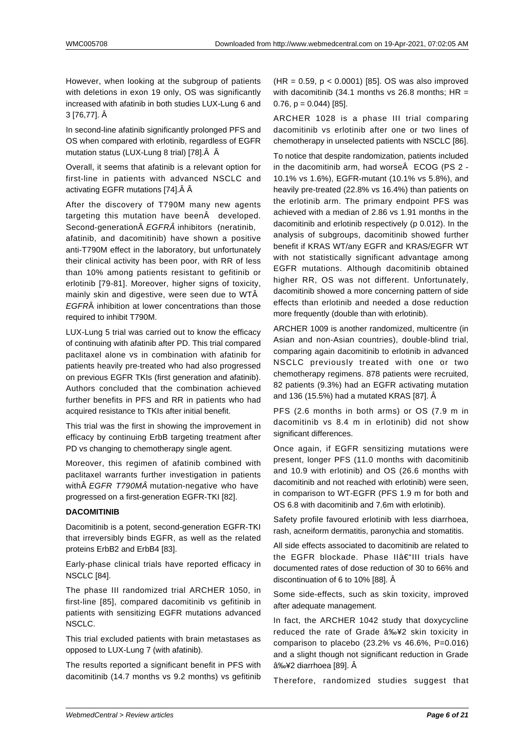However, when looking at the subgroup of patients with deletions in exon 19 only, OS was significantly increased with afatinib in both studies LUX-Lung 6 and 3 [76,77]. Â

In second-line afatinib significantly prolonged PFS and OS when compared with erlotinib, regardless of EGFR mutation status (LUX-Lung 8 trial) [78]. Â Â

Overall, it seems that afatinib is a relevant option for first-line in patients with advanced NSCLC and activating EGFR mutations [74]. Â Â

After the discovery of T790M many new agents targeting this mutation have been developed. Second-generation EGFRÂ inhibitors (neratinib,

afatinib, and dacomitinib) have shown a positive anti-T790M effect in the laboratory, but unfortunately their clinical activity has been poor, with RR of less than 10% among patients resistant to gefitinib or erlotinib [79-81]. Moreover, higher signs of toxicity, mainly skin and digestive, were seen due to WTÂ EGFRÂ inhibition at lower concentrations than those required to inhibit T790M.

LUX-Lung 5 trial was carried out to know the efficacy of continuing with afatinib after PD. This trial compared paclitaxel alone vs in combination with afatinib for patients heavily pre-treated who had also progressed on previous EGFR TKIs (first generation and afatinib). Authors concluded that the combination achieved further benefits in PFS and RR in patients who had acquired resistance to TKIs after initial benefit.

This trial was the first in showing the improvement in efficacy by continuing ErbB targeting treatment after PD vs changing to chemotherapy single agent.

Moreover, this regimen of afatinib combined with paclitaxel warrants further investigation in patients with A EGFR T790MA mutation-negative who have progressed on a first-generation EGFR-TKI [82].

#### **DACOMITINIB**

Dacomitinib is a potent, second-generation EGFR-TKI that irreversibly binds EGFR, as well as the related proteins ErbB2 and ErbB4 [83].

Early-phase clinical trials have reported efficacy in NSCLC [84].

The phase III randomized trial ARCHER 1050, in first-line [85], compared dacomitinib vs gefitinib in patients with sensitizing EGFR mutations advanced NSCLC.

This trial excluded patients with brain metastases as opposed to LUX-Lung 7 (with afatinib).

The results reported a significant benefit in PFS with dacomitinib (14.7 months vs 9.2 months) vs gefitinib (HR = 0.59, p < 0.0001) [85]. OS was also improved with dacomitinib (34.1 months vs 26.8 months;  $HR =$ 0.76,  $p = 0.044$ ) [85].

ARCHER 1028 is a phase III trial comparing dacomitinib vs erlotinib after one or two lines of chemotherapy in unselected patients with NSCLC [86].

To notice that despite randomization, patients included in the dacomitinib arm, had worse $\hat{A}$  ECOG (PS 2 -10.1% vs 1.6%), EGFR-mutant (10.1% vs 5.8%), and heavily pre-treated (22.8% vs 16.4%) than patients on the erlotinib arm. The primary endpoint PFS was achieved with a median of 2.86 vs 1.91 months in the dacomitinib and erlotinib respectively (p 0.012). In the analysis of subgroups, dacomitinib showed further benefit if KRAS WT/any EGFR and KRAS/EGFR WT with not statistically significant advantage among EGFR mutations. Although dacomitinib obtained higher RR, OS was not different. Unfortunately, dacomitinib showed a more concerning pattern of side effects than erlotinib and needed a dose reduction more frequently (double than with erlotinib).

ARCHER 1009 is another randomized, multicentre (in Asian and non-Asian countries), double-blind trial, comparing again dacomitinib to erlotinib in advanced NSCLC previously treated with one or two chemotherapy regimens. 878 patients were recruited, 82 patients (9.3%) had an EGFR activating mutation and 136 (15.5%) had a mutated KRAS [87]. Â

PFS (2.6 months in both arms) or OS (7.9 m in dacomitinib vs 8.4 m in erlotinib) did not show significant differences.

Once again, if EGFR sensitizing mutations were present, longer PFS (11.0 months with dacomitinib and 10.9 with erlotinib) and OS (26.6 months with dacomitinib and not reached with erlotinib) were seen, in comparison to WT-EGFR (PFS 1.9 m for both and OS 6.8 with dacomitinib and 7.6m with erlotinib).

Safety profile favoured erlotinib with less diarrhoea, rash, acneiform dermatitis, paronychia and stomatitis.

All side effects associated to dacomitinib are related to the EGFR blockade. Phase II–III trials have documented rates of dose reduction of 30 to 66% and discontinuation of 6 to 10% [88]. Â

Some side-effects, such as skin toxicity, improved after adequate management.

In fact, the ARCHER 1042 study that doxycycline reduced the rate of Grade  $â\%e42$  skin toxicity in comparison to placebo  $(23.2\% \text{ vs } 46.6\%, \text{ P=0.016})$ and a slight though not significant reduction in Grade ≥2 diarrhoea [89]. Â

Therefore, randomized studies suggest that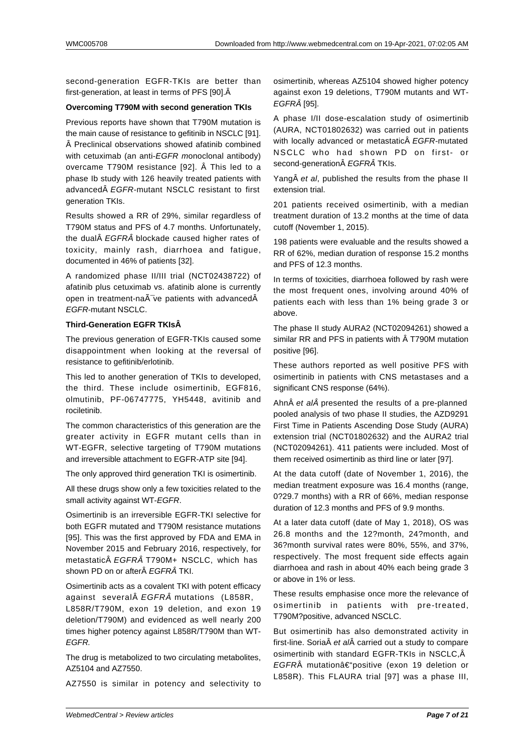second-generation EGFR-TKIs are better than first-generation, at least in terms of PFS [90].

#### **Overcoming T790M with second generation TKIs**

Previous reports have shown that T790M mutation is the main cause of resistance to gefitinib in NSCLC [91].  $\hat{A}$  Preclinical observations showed afatinib combined with cetuximab (an anti-EGFR monoclonal antibody) overcame T790M resistance [92]. Â This led to a phase Ib study with 126 heavily treated patients with advanced EGFR-mutant NSCLC resistant to first generation TKIs.

Results showed a RR of 29%, similar regardless of T790M status and PFS of 4.7 months. Unfortunately, the dual $\hat{A}$  *EGFR* $\hat{A}$  blockade caused higher rates of toxicity, mainly rash, diarrhoea and fatigue, documented in 46% of patients [32].

A randomized phase II/III trial (NCT02438722) of afatinib plus cetuximab vs. afatinib alone is currently open in treatment-na $\tilde{A}$  ve patients with advanced $\hat{A}$ EGFR-mutant NSCLC.

#### **Third-Generation EGFR TKIs**

The previous generation of EGFR-TKIs caused some disappointment when looking at the reversal of resistance to gefitinib/erlotinib.

This led to another generation of TKIs to developed, the third. These include osimertinib, EGF816, olmutinib, PF-06747775, YH5448, avitinib and rociletinib.

The common characteristics of this generation are the greater activity in EGFR mutant cells than in WT-EGFR, selective targeting of T790M mutations and irreversible attachment to EGFR-ATP site [94].

The only approved third generation TKI is osimertinib.

All these drugs show only a few toxicities related to the small activity against WT-EGFR.

Osimertinib is an irreversible EGFR-TKI selective for both EGFR mutated and T790M resistance mutations [95]. This was the first approved by FDA and EMA in November 2015 and February 2016, respectively, for metastatic EGFRÂ T790M+ NSCLC, which has shown PD on or after EGFRÂ TKI.

Osimertinib acts as a covalent TKI with potent efficacy against several $\hat{A}$  *EGFRÂ* mutations (L858R,

L858R/T790M, exon 19 deletion, and exon 19 deletion/T790M) and evidenced as well nearly 200 times higher potency against L858R/T790M than WT-EGFR.

The drug is metabolized to two circulating metabolites, AZ5104 and AZ7550.

AZ7550 is similar in potency and selectivity to

osimertinib, whereas AZ5104 showed higher potency against exon 19 deletions, T790M mutants and WT-EGFRÂ [95].

A phase I/II dose-escalation study of osimertinib (AURA, NCT01802632) was carried out in patients with locally advanced or metastatic EGFR-mutated NSCLC who had shown PD on first- or second-generation EGFRÂ TKIs.

Yang A et al, published the results from the phase II extension trial.

201 patients received osimertinib, with a median treatment duration of 13.2 months at the time of data cutoff (November 1, 2015).

198 patients were evaluable and the results showed a RR of 62%, median duration of response 15.2 months and PFS of 12.3 months.

In terms of toxicities, diarrhoea followed by rash were the most frequent ones, involving around 40% of patients each with less than 1% being grade 3 or above.

The phase II study AURA2 (NCT02094261) showed a similar RR and PFS in patients with  $\hat{A}$  T790M mutation positive [96].

These authors reported as well positive PFS with osimertinib in patients with CNS metastases and a significant CNS response (64%).

Ahn $\hat{A}$  et al $\hat{A}$  presented the results of a pre-planned pooled analysis of two phase II studies, the AZD9291 First Time in Patients Ascending Dose Study (AURA) extension trial (NCT01802632) and the AURA2 trial (NCT02094261). 411 patients were included. Most of them received osimertinib as third line or later [97].

At the data cutoff (date of November 1, 2016), the median treatment exposure was 16.4 months (range, 0?29.7 months) with a RR of 66%, median response duration of 12.3 months and PFS of 9.9 months.

At a later data cutoff (date of May 1, 2018), OS was 26.8 months and the 12?month, 24?month, and 36?month survival rates were 80%, 55%, and 37%, respectively. The most frequent side effects again diarrhoea and rash in about 40% each being grade 3 or above in 1% or less.

These results emphasise once more the relevance of osimertinib in patients with pre-treated, T790M?positive, advanced NSCLC.

But osimertinib has also demonstrated activity in first-line. Soria $\hat{A}$  et al $\hat{A}$  carried out a study to compare osimertinib with standard EGFR-TKIs in NSCLC, EGFRÂ mutationâ $\epsilon$ "positive (exon 19 deletion or L858R). This FLAURA trial [97] was a phase III,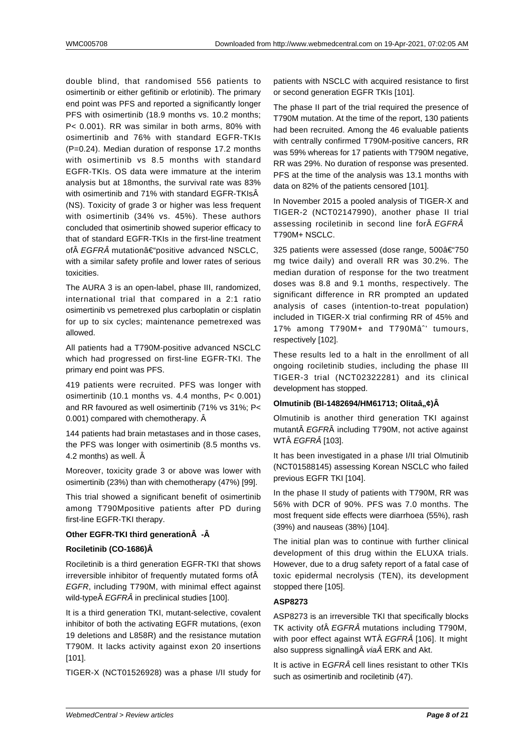double blind, that randomised 556 patients to osimertinib or either gefitinib or erlotinib). The primary end point was PFS and reported a significantly longer PFS with osimertinib (18.9 months vs. 10.2 months; P< 0.001). RR was similar in both arms, 80% with osimertinib and 76% with standard EGFR-TKIs (P=0.24). Median duration of response 17.2 months with osimertinib vs 8.5 months with standard EGFR-TKIs. OS data were immature at the interim analysis but at 18months, the survival rate was 83% with osimertinib and 71% with standard EGFR-TKIsÂ (NS). Toxicity of grade 3 or higher was less frequent with osimertinib (34% vs. 45%). These authors concluded that osimertinib showed superior efficacy to that of standard EGFR-TKIs in the first-line treatment of $\hat{A}$  EGFR $\hat{A}$  mutation $\hat{a} \in \text{``positive}$  advanced NSCLC, with a similar safety profile and lower rates of serious toxicities.

The AURA 3 is an open-label, phase III, randomized, international trial that compared in a 2:1 ratio osimertinib vs pemetrexed plus carboplatin or cisplatin for up to six cycles; maintenance pemetrexed was allowed.

All patients had a T790M-positive advanced NSCLC which had progressed on first-line EGFR-TKI. The primary end point was PFS.

419 patients were recruited. PFS was longer with osimertinib (10.1 months vs. 4.4 months, P< 0.001) and RR favoured as well osimertinib (71% vs 31%; P< 0.001) compared with chemotherapy. Â

144 patients had brain metastases and in those cases, the PFS was longer with osimertinib (8.5 months vs. 4.2 months) as well. Â

Moreover, toxicity grade 3 or above was lower with osimertinib (23%) than with chemotherapy (47%) [99].

This trial showed a significant benefit of osimertinib among T790Mpositive patients after PD during first-line EGFR-TKI therapy.

#### **Other EGFR-TKI third generation**  $\hat{A}$  **-**  $\hat{A}$

#### **Rociletinib (CO-1686)Â**

Rociletinib is a third generation EGFR-TKI that shows irreversible inhibitor of frequently mutated forms of Â EGFR, including T790M, with minimal effect against wild-type EGFRÂ in preclinical studies [100].

It is a third generation TKI, mutant-selective, covalent inhibitor of both the activating EGFR mutations, (exon 19 deletions and L858R) and the resistance mutation T790M. It lacks activity against exon 20 insertions [101].

TIGER-X (NCT01526928) was a phase I/II study for

patients with NSCLC with acquired resistance to first or second generation EGFR TKIs [101].

The phase II part of the trial required the presence of T790M mutation. At the time of the report, 130 patients had been recruited. Among the 46 evaluable patients with centrally confirmed T790M-positive cancers, RR was 59% whereas for 17 patients with T790M negative, RR was 29%. No duration of response was presented. PFS at the time of the analysis was 13.1 months with data on 82% of the patients censored [101].

In November 2015 a pooled analysis of TIGER-X and TIGER-2 (NCT02147990), another phase II trial assessing rociletinib in second line for EGFRÂ T790M+ NSCLC.

325 patients were assessed (dose range, 500â€"750 mg twice daily) and overall RR was 30.2%. The median duration of response for the two treatment doses was 8.8 and 9.1 months, respectively. The significant difference in RR prompted an updated analysis of cases (intention-to-treat population) included in TIGER-X trial confirming RR of 45% and 17% among T790M+ and T790Mâ<sup>2</sup> tumours, respectively [102].

These results led to a halt in the enrollment of all ongoing rociletinib studies, including the phase III TIGER-3 trial (NCT02322281) and its clinical development has stopped.

#### **Olmutinib (BI-1482694/HM61713; Olitaâ,,¢)Â**

Olmutinib is another third generation TKI against mutant EGFRÂ including T790M, not active against WTÂ EGFRÂ [103].

It has been investigated in a phase I/II trial Olmutinib (NCT01588145) assessing Korean NSCLC who failed previous EGFR TKI [104].

In the phase II study of patients with T790M, RR was 56% with DCR of 90%. PFS was 7.0 months. The most frequent side effects were diarrhoea (55%), rash (39%) and nauseas (38%) [104].

The initial plan was to continue with further clinical development of this drug within the ELUXA trials. However, due to a drug safety report of a fatal case of toxic epidermal necrolysis (TEN), its development stopped there [105].

#### **ASP8273**

ASP8273 is an irreversible TKI that specifically blocks TK activity of EGFRÂ mutations including T790M. with poor effect against WTÂ EGFRÂ [106]. It might also suppress signalling via ERK and Akt.

It is active in EGFRÂ cell lines resistant to other TKIs such as osimertinib and rociletinib (47).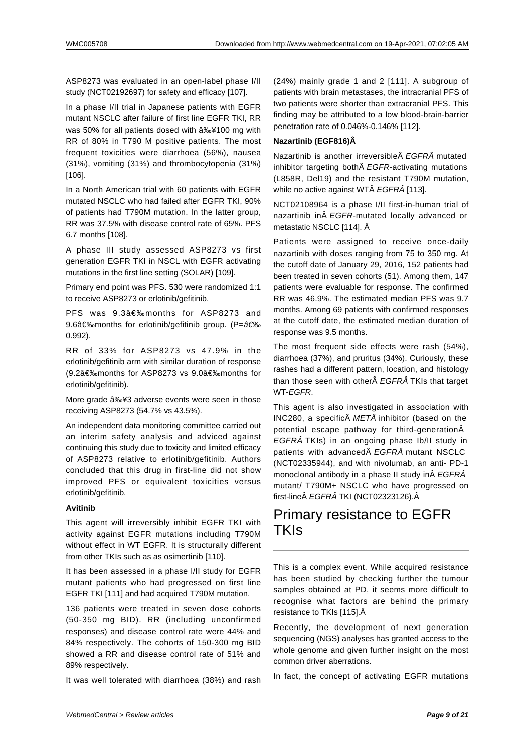ASP8273 was evaluated in an open-label phase I/II study (NCT02192697) for safety and efficacy [107].

In a phase I/II trial in Japanese patients with EGFR mutant NSCLC after failure of first line EGFR TKI, RR was 50% for all patients dosed with  $â\frac{1}{2}4100$  mg with RR of 80% in T790 M positive patients. The most frequent toxicities were diarrhoea (56%), nausea (31%), vomiting (31%) and thrombocytopenia (31%) [106].

In a North American trial with 60 patients with EGFR mutated NSCLC who had failed after EGFR TKI, 90% of patients had T790M mutation. In the latter group, RR was 37.5% with disease control rate of 65%. PFS 6.7 months [108].

A phase III study assessed ASP8273 vs first generation EGFR TKI in NSCL with EGFR activating mutations in the first line setting (SOLAR) [109].

Primary end point was PFS. 530 were randomized 1:1 to receive ASP8273 or erlotinib/gefitinib.

PFS was 9.3 months for ASP8273 and 9.6 months for erlotinib/gefitinib group. (P=  0.992).

RR of 33% for ASP8273 vs 47.9% in the erlotinib/gefitinib arm with similar duration of response (9.2 months for ASP8273 vs 9.0 months for erlotinib/gefitinib).

More grade ≥3 adverse events were seen in those receiving ASP8273 (54.7% vs 43.5%).

An independent data monitoring committee carried out an interim safety analysis and adviced against continuing this study due to toxicity and limited efficacy of ASP8273 relative to erlotinib/gefitinib. Authors concluded that this drug in first-line did not show improved PFS or equivalent toxicities versus erlotinib/gefitinib.

#### **Avitinib**

This agent will irreversibly inhibit EGFR TKI with activity against EGFR mutations including T790M without effect in WT EGFR. It is structurally different from other TKIs such as as osimertinib [110].

It has been assessed in a phase I/II study for EGFR mutant patients who had progressed on first line EGFR TKI [111] and had acquired T790M mutation.

136 patients were treated in seven dose cohorts (50-350 mg BID). RR (including unconfirmed responses) and disease control rate were 44% and 84% respectively. The cohorts of 150-300 mg BID showed a RR and disease control rate of 51% and 89% respectively.

It was well tolerated with diarrhoea (38%) and rash

(24%) mainly grade 1 and 2 [111]. A subgroup of patients with brain metastases, the intracranial PFS of two patients were shorter than extracranial PFS. This finding may be attributed to a low blood-brain-barrier penetration rate of 0.046%-0.146% [112].

#### **Nazartinib (EGF816)Â**

Nazartinib is another irreversible EGFRÂ mutated inhibitor targeting both EGFR-activating mutations (L858R, Del19) and the resistant T790M mutation, while no active against WTÂ EGFRÂ [113].

NCT02108964 is a phase I/II first-in-human trial of nazartinib in EGFR-mutated locally advanced or metastatic NSCLC [114]. Â

Patients were assigned to receive once-daily nazartinib with doses ranging from 75 to 350 mg. At the cutoff date of January 29, 2016, 152 patients had been treated in seven cohorts (51). Among them, 147 patients were evaluable for response. The confirmed RR was 46.9%. The estimated median PFS was 9.7 months. Among 69 patients with confirmed responses at the cutoff date, the estimated median duration of response was 9.5 months.

The most frequent side effects were rash (54%), diarrhoea (37%), and pruritus (34%). Curiously, these rashes had a different pattern, location, and histology than those seen with other $\hat{A}$  EGFR $\hat{A}$  TKIs that target WT-EGFR.

This agent is also investigated in association with INC280, a specific $\hat{A}$  *MET* $\hat{A}$  inhibitor (based on the potential escape pathway for third-generation EGFRÂ TKIs) in an ongoing phase Ib/II study in patients with advanced EGFRÂ mutant NSCLC (NCT02335944), and with nivolumab, an anti- PD-1 monoclonal antibody in a phase II study in  $\hat{A} E GFR \hat{A}$ mutant/ T790M+ NSCLC who have progressed on first-line EGFRÂ TKI (NCT02323126). Â

## Primary resistance to EGFR TKIs

This is a complex event. While acquired resistance has been studied by checking further the tumour samples obtained at PD, it seems more difficult to recognise what factors are behind the primary resistance to TKIs [115]. Â

Recently, the development of next generation sequencing (NGS) analyses has granted access to the whole genome and given further insight on the most common driver aberrations.

In fact, the concept of activating EGFR mutations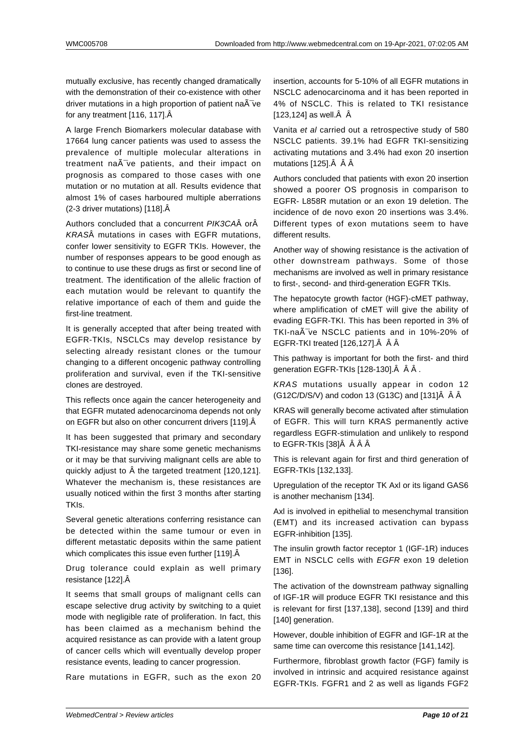mutually exclusive, has recently changed dramatically with the demonstration of their co-existence with other driver mutations in a high proportion of patient na $\tilde{A}$ -ve for any treatment [116, 117].

A large French Biomarkers molecular database with 17664 lung cancer patients was used to assess the prevalence of multiple molecular alterations in treatment  $na\tilde{A}^-$ ve patients, and their impact on prognosis as compared to those cases with one mutation or no mutation at all. Results evidence that almost 1% of cases harboured multiple aberrations (2-3 driver mutations) [118].

Authors concluded that a concurrent PIK3CAÂ orÂ KRASÂ mutations in cases with EGFR mutations, confer lower sensitivity to EGFR TKIs. However, the number of responses appears to be good enough as to continue to use these drugs as first or second line of treatment. The identification of the allelic fraction of each mutation would be relevant to quantify the relative importance of each of them and guide the first-line treatment.

It is generally accepted that after being treated with EGFR-TKIs, NSCLCs may develop resistance by selecting already resistant clones or the tumour changing to a different oncogenic pathway controlling proliferation and survival, even if the TKI-sensitive clones are destroyed.

This reflects once again the cancer heterogeneity and that EGFR mutated adenocarcinoma depends not only on EGFR but also on other concurrent drivers [119]. Â

It has been suggested that primary and secondary TKI-resistance may share some genetic mechanisms or it may be that surviving malignant cells are able to quickly adjust to A the targeted treatment [120,121]. Whatever the mechanism is, these resistances are usually noticed within the first 3 months after starting TKIs.

Several genetic alterations conferring resistance can be detected within the same tumour or even in different metastatic deposits within the same patient which complicates this issue even further [119]. Â

Drug tolerance could explain as well primary resistance [122].

It seems that small groups of malignant cells can escape selective drug activity by switching to a quiet mode with negligible rate of proliferation. In fact, this has been claimed as a mechanism behind the acquired resistance as can provide with a latent group of cancer cells which will eventually develop proper resistance events, leading to cancer progression.

Rare mutations in EGFR, such as the exon 20

insertion, accounts for 5-10% of all EGFR mutations in NSCLC adenocarcinoma and it has been reported in 4% of NSCLC. This is related to TKI resistance  $[123, 124]$  as well. $\hat{A}$   $\hat{A}$ 

Vanita et al carried out a retrospective study of 580 NSCLC patients. 39.1% had EGFR TKI-sensitizing activating mutations and 3.4% had exon 20 insertion mutations [125]. Â Â Â

Authors concluded that patients with exon 20 insertion showed a poorer OS prognosis in comparison to EGFR- L858R mutation or an exon 19 deletion. The incidence of de novo exon 20 insertions was 3.4%. Different types of exon mutations seem to have different results.

Another way of showing resistance is the activation of other downstream pathways. Some of those mechanisms are involved as well in primary resistance to first-, second- and third-generation EGFR TKIs.

The hepatocyte growth factor (HGF)-cMET pathway, where amplification of cMET will give the ability of evading EGFR-TKI. This has been reported in 3% of TKI-na $\tilde{A}$ -ve NSCLC patients and in 10%-20% of EGFR-TKI treated [126,127]. $\hat{A}$   $\hat{A}$ 

This pathway is important for both the first- and third generation EGFR-TKIs [128-130]. Â Â Â.

KRAS mutations usually appear in codon 12 (G12C/D/S/V) and codon 13 (G13C) and [131]Â Â Â

KRAS will generally become activated after stimulation of EGFR. This will turn KRAS permanently active regardless EGFR-stimulation and unlikely to respond to EGFR-TKIs [38]Â Â Â Â

This is relevant again for first and third generation of EGFR-TKIs [132,133].

Upregulation of the receptor TK Axl or its ligand GAS6 is another mechanism [134].

Axl is involved in epithelial to mesenchymal transition (EMT) and its increased activation can bypass EGFR-inhibition [135].

The insulin growth factor receptor 1 (IGF-1R) induces EMT in NSCLC cells with EGFR exon 19 deletion [136].

The activation of the downstream pathway signalling of IGF-1R will produce EGFR TKI resistance and this is relevant for first [137,138], second [139] and third [140] generation.

However, double inhibition of EGFR and IGF-1R at the same time can overcome this resistance [141,142].

Furthermore, fibroblast growth factor (FGF) family is involved in intrinsic and acquired resistance against EGFR-TKIs. FGFR1 and 2 as well as ligands FGF2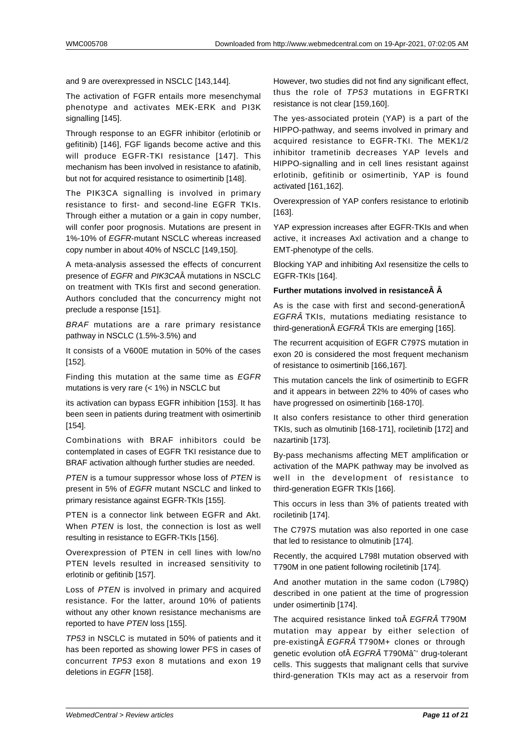and 9 are overexpressed in NSCLC [143,144].

The activation of FGFR entails more mesenchymal phenotype and activates MEK-ERK and PI3K signalling [145].

Through response to an EGFR inhibitor (erlotinib or gefitinib) [146], FGF ligands become active and this will produce EGFR-TKI resistance [147]. This mechanism has been involved in resistance to afatinib, but not for acquired resistance to osimertinib [148].

The PIK3CA signalling is involved in primary resistance to first- and second-line EGFR TKIs. Through either a mutation or a gain in copy number, will confer poor prognosis. Mutations are present in 1%-10% of EGFR-mutant NSCLC whereas increased copy number in about 40% of NSCLC [149,150].

A meta-analysis assessed the effects of concurrent presence of EGFR and PIK3CAÂ mutations in NSCLC on treatment with TKIs first and second generation. Authors concluded that the concurrency might not preclude a response [151].

BRAF mutations are a rare primary resistance pathway in NSCLC (1.5%-3.5%) and

It consists of a V600E mutation in 50% of the cases [152].

Finding this mutation at the same time as EGFR mutations is very rare (< 1%) in NSCLC but

its activation can bypass EGFR inhibition [153]. It has been seen in patients during treatment with osimertinib [154].

Combinations with BRAF inhibitors could be contemplated in cases of EGFR TKI resistance due to BRAF activation although further studies are needed.

PTEN is a tumour suppressor whose loss of PTEN is present in 5% of EGFR mutant NSCLC and linked to primary resistance against EGFR-TKIs [155].

PTEN is a connector link between EGFR and Akt. When PTEN is lost, the connection is lost as well resulting in resistance to EGFR-TKIs [156].

Overexpression of PTEN in cell lines with low/no PTEN levels resulted in increased sensitivity to erlotinib or gefitinib [157].

Loss of PTEN is involved in primary and acquired resistance. For the latter, around 10% of patients without any other known resistance mechanisms are reported to have PTEN loss [155].

TP53 in NSCLC is mutated in 50% of patients and it has been reported as showing lower PFS in cases of concurrent TP53 exon 8 mutations and exon 19 deletions in EGFR [158].

However, two studies did not find any significant effect, thus the role of TP53 mutations in EGFRTKI resistance is not clear [159,160].

The yes-associated protein (YAP) is a part of the HIPPO-pathway, and seems involved in primary and acquired resistance to EGFR-TKI. The MEK1/2 inhibitor trametinib decreases YAP levels and HIPPO-signalling and in cell lines resistant against erlotinib, gefitinib or osimertinib, YAP is found activated [161,162].

Overexpression of YAP confers resistance to erlotinib [163].

YAP expression increases after EGFR-TKIs and when active, it increases Axl activation and a change to EMT-phenotype of the cells.

Blocking YAP and inhibiting Axl resensitize the cells to EGFR-TKIs [164].

#### **Further mutations involved in resistance Å**

As is the case with first and second-generationÂ EGFRÂ TKIs, mutations mediating resistance to third-generation $\hat{A}$  EGFR $\hat{A}$  TKIs are emerging [165].

The recurrent acquisition of EGFR C797S mutation in exon 20 is considered the most frequent mechanism of resistance to osimertinib [166,167].

This mutation cancels the link of osimertinib to EGFR and it appears in between 22% to 40% of cases who have progressed on osimertinib [168-170].

It also confers resistance to other third generation TKIs, such as olmutinib [168-171], rociletinib [172] and nazartinib [173].

By-pass mechanisms affecting MET amplification or activation of the MAPK pathway may be involved as well in the development of resistance to third-generation EGFR TKIs [166].

This occurs in less than 3% of patients treated with rociletinib [174].

The C797S mutation was also reported in one case that led to resistance to olmutinib [174].

Recently, the acquired L798I mutation observed with T790M in one patient following rociletinib [174].

And another mutation in the same codon (L798Q) described in one patient at the time of progression under osimertinib [174].

The acquired resistance linked to EGFRÂ T790M mutation may appear by either selection of pre-existing A EGFRA T790M+ clones or through genetic evolution of EGFRÂ T790Mâ<sup>2</sup> drug-tolerant cells. This suggests that malignant cells that survive third-generation TKIs may act as a reservoir from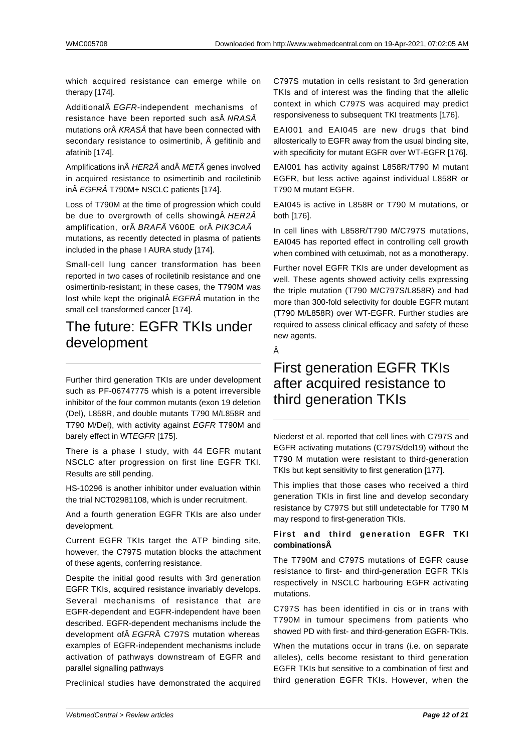which acquired resistance can emerge while on therapy [174].

Additional EGFR-independent mechanisms of resistance have been reported such as  $\hat{A}$  NRAS $\hat{A}$ mutations or KRASÂ that have been connected with secondary resistance to osimertinib, Â gefitinib and afatinib [174].

Amplifications in  $\hat{A}$  HER2 $\hat{A}$  and  $\hat{A}$  MET $\hat{A}$  genes involved in acquired resistance to osimertinib and rociletinib in EGFRÂ T790M+ NSCLC patients [174].

Loss of T790M at the time of progression which could be due to overgrowth of cells showing A HER2A amplification, or BRAF V600E or PIK3CAÂ mutations, as recently detected in plasma of patients included in the phase I AURA study [174].

Small-cell lung cancer transformation has been reported in two cases of rociletinib resistance and one osimertinib-resistant; in these cases, the T790M was lost while kept the original $\hat{A}$  EGFR $\hat{A}$  mutation in the small cell transformed cancer [174].

### The future: EGFR TKIs under development

Further third generation TKIs are under development such as PF-06747775 whish is a potent irreversible inhibitor of the four common mutants (exon 19 deletion (Del), L858R, and double mutants T790 M/L858R and T790 M/Del), with activity against EGFR T790M and barely effect in WTEGFR [175].

There is a phase I study, with 44 EGFR mutant NSCLC after progression on first line EGFR TKI. Results are still pending.

HS-10296 is another inhibitor under evaluation within the trial NCT02981108, which is under recruitment.

And a fourth generation EGFR TKIs are also under development.

Current EGFR TKIs target the ATP binding site, however, the C797S mutation blocks the attachment of these agents, conferring resistance.

Despite the initial good results with 3rd generation EGFR TKIs, acquired resistance invariably develops. Several mechanisms of resistance that are EGFR-dependent and EGFR-independent have been described. EGFR-dependent mechanisms include the development of EGFRÂ C797S mutation whereas examples of EGFR-independent mechanisms include activation of pathways downstream of EGFR and parallel signalling pathways

Preclinical studies have demonstrated the acquired

C797S mutation in cells resistant to 3rd generation TKIs and of interest was the finding that the allelic context in which C797S was acquired may predict responsiveness to subsequent TKI treatments [176].

EAI001 and EAI045 are new drugs that bind allosterically to EGFR away from the usual binding site, with specificity for mutant EGFR over WT-EGFR [176].

EAI001 has activity against L858R/T790 M mutant EGFR, but less active against individual L858R or T790 M mutant EGFR.

EAI045 is active in L858R or T790 M mutations, or both [176].

In cell lines with L858R/T790 M/C797S mutations, EAI045 has reported effect in controlling cell growth when combined with cetuximab, not as a monotherapy.

Further novel EGFR TKIs are under development as well. These agents showed activity cells expressing the triple mutation (T790 M/C797S/L858R) and had more than 300-fold selectivity for double EGFR mutant (T790 M/L858R) over WT-EGFR. Further studies are required to assess clinical efficacy and safety of these new agents.

Â

## First generation EGFR TKIs after acquired resistance to third generation TKIs

Niederst et al. reported that cell lines with C797S and EGFR activating mutations (C797S/del19) without the T790 M mutation were resistant to third-generation TKIs but kept sensitivity to first generation [177].

This implies that those cases who received a third generation TKIs in first line and develop secondary resistance by C797S but still undetectable for T790 M may respond to first-generation TKIs.

#### **First and third generation EGFR TKI combinations**

The T790M and C797S mutations of EGFR cause resistance to first- and third-generation EGFR TKIs respectively in NSCLC harbouring EGFR activating mutations.

C797S has been identified in cis or in trans with T790M in tumour specimens from patients who showed PD with first- and third-generation EGFR-TKIs.

When the mutations occur in trans (i.e. on separate alleles), cells become resistant to third generation EGFR TKIs but sensitive to a combination of first and third generation EGFR TKIs. However, when the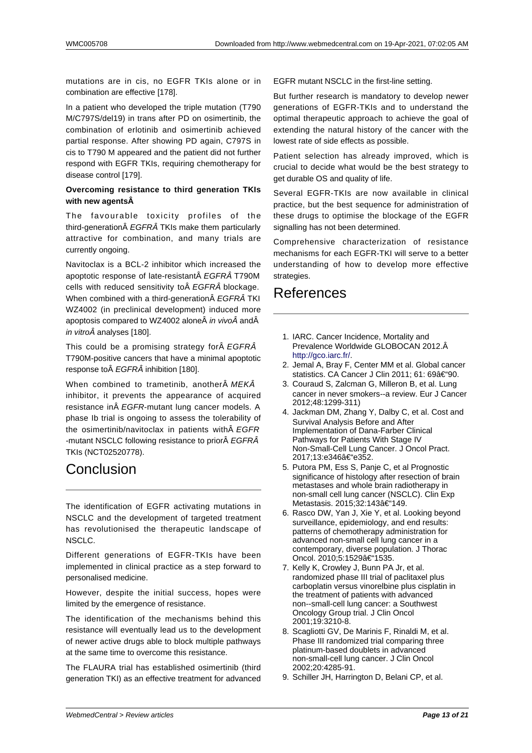mutations are in cis, no EGFR TKIs alone or in combination are effective [178].

In a patient who developed the triple mutation (T790 M/C797S/del19) in trans after PD on osimertinib, the combination of erlotinib and osimertinib achieved partial response. After showing PD again, C797S in cis to T790 M appeared and the patient did not further respond with EGFR TKIs, requiring chemotherapy for disease control [179].

#### **Overcoming resistance to third generation TKIs with new agents**

The favourable toxicity profiles of the third-generation EGFRÂ TKIs make them particularly attractive for combination, and many trials are currently ongoing.

Navitoclax is a BCL-2 inhibitor which increased the apoptotic response of late-resistant EGFRÂ T790M cells with reduced sensitivity to EGFRÂ blockage. When combined with a third-generation EGFRÂ TKI WZ4002 (in preclinical development) induced more apoptosis compared to WZ4002 alone $\hat{A}$  in vivo $\hat{A}$  and $\hat{A}$ in vitro $\hat{A}$  analyses [180].

This could be a promising strategy for A EGFRA T790M-positive cancers that have a minimal apoptotic response to EGFRÂ inhibition [180].

When combined to trametinib, another MEKÂ inhibitor, it prevents the appearance of acquired resistance in EGFR-mutant lung cancer models. A phase Ib trial is ongoing to assess the tolerability of the osimertinib/navitoclax in patients with  $\hat{A}$  EGFR -mutant NSCLC following resistance to prior A EGFRA TKIs (NCT02520778).

## Conclusion

The identification of EGFR activating mutations in NSCLC and the development of targeted treatment has revolutionised the therapeutic landscape of NSCLC.

Different generations of EGFR-TKIs have been implemented in clinical practice as a step forward to personalised medicine.

However, despite the initial success, hopes were limited by the emergence of resistance.

The identification of the mechanisms behind this resistance will eventually lead us to the development of newer active drugs able to block multiple pathways at the same time to overcome this resistance.

The FLAURA trial has established osimertinib (third generation TKI) as an effective treatment for advanced EGFR mutant NSCLC in the first-line setting.

But further research is mandatory to develop newer generations of EGFR-TKIs and to understand the optimal therapeutic approach to achieve the goal of extending the natural history of the cancer with the lowest rate of side effects as possible.

Patient selection has already improved, which is crucial to decide what would be the best strategy to get durable OS and quality of life.

Several EGFR-TKIs are now available in clinical practice, but the best sequence for administration of these drugs to optimise the blockage of the EGFR signalling has not been determined.

Comprehensive characterization of resistance mechanisms for each EGFR-TKI will serve to a better understanding of how to develop more effective strategies.

### References

- 1. IARC. Cancer Incidence, Mortality and Prevalence Worldwide GLOBOCAN 2012. http://gco.iarc.fr/.
- 2. Jemal A, Bray F, Center MM et al. Global cancer statistics. CA Cancer J Clin 2011; 61: 69–90.
- 3. Couraud S, Zalcman G, Milleron B, et al. Lung cancer in never smokers--a review. Eur J Cancer [2012;48:1299-31](http://gco.iarc.fr/)1)
- 4. Jackman DM, Zhang Y, Dalby C, et al. Cost and Survival Analysis Before and After Implementation of Dana-Farber Clinical Pathways for Patients With Stage IV Non-Small-Cell Lung Cancer. J Oncol Pract. 2017;13:e346–e352.
- 5. Putora PM, Ess S, Panje C, et al Prognostic significance of histology after resection of brain metastases and whole brain radiotherapy in non-small cell lung cancer (NSCLC). Clin Exp Metastasis. 2015;32:143–149.
- 6. Rasco DW, Yan J, Xie Y, et al. Looking beyond surveillance, epidemiology, and end results: patterns of chemotherapy administration for advanced non-small cell lung cancer in a contemporary, diverse population. J Thorac Oncol. 2010;5:1529–1535.
- 7. Kelly K, Crowley J, Bunn PA Jr, et al. randomized phase III trial of paclitaxel plus carboplatin versus vinorelbine plus cisplatin in the treatment of patients with advanced non--small-cell lung cancer: a Southwest Oncology Group trial. J Clin Oncol 2001;19:3210-8.
- 8. Scagliotti GV, De Marinis F, Rinaldi M, et al. Phase III randomized trial comparing three platinum-based doublets in advanced non-small-cell lung cancer. J Clin Oncol 2002;20:4285-91.
- 9. Schiller JH, Harrington D, Belani CP, et al.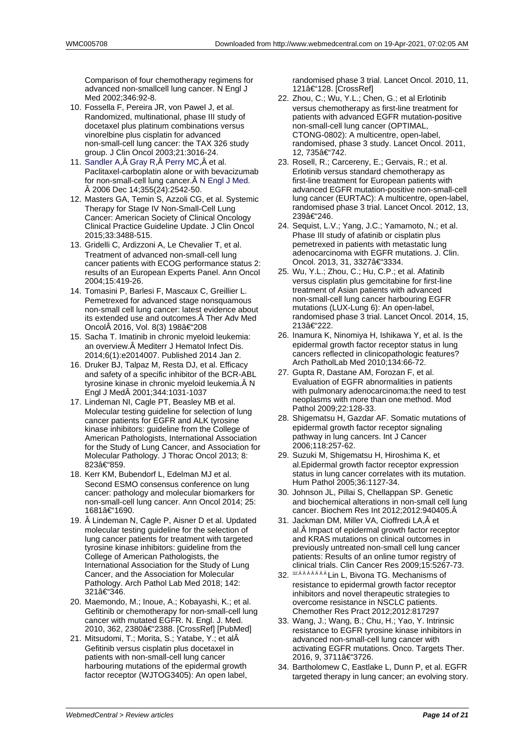Comparison of four chemotherapy regimens for advanced non-smallcell lung cancer. N Engl J Med 2002;346:92-8.

- 10. Fossella F, Pereira JR, von Pawel J, et al. Randomized, multinational, phase III study of docetaxel plus platinum combinations versus vinorelbine plus cisplatin for advanced non-small-cell lung cancer: the TAX 326 study group. J Clin Oncol 2003;21:3016-24.
- 11. Sandler A, Â Gray R, Â Perry MC, Â et al. Paclitaxel-carboplatin alone or with bevacizumab for non-small-cell lung cancer. A N Engl J Med. 2006 Dec 14;355(24):2542-50.
- 12. Masters GA, Temin S, Azzoli CG, et al. Systemic [Therapy fo](https://www.ncbi.nlm.nih.gov/pubmed/?term=Sandler%20A%5BAuthor%5D&cauthor=true&cauthor_uid=17167137)r [Stage IV](https://www.ncbi.nlm.nih.gov/pubmed/?term=Gray%20R%5BAuthor%5D&cauthor=true&cauthor_uid=17167137) [Non-Small-](https://www.ncbi.nlm.nih.gov/pubmed/?term=Perry%20MC%5BAuthor%5D&cauthor=true&cauthor_uid=17167137)Cell Lung Cancer: American Society of Clinical Oncology Clinical Practice Guideline Upda[te. J Clin Onco](https://www.ncbi.nlm.nih.gov/pubmed/17167137)l 2015;33:3488-515.
- 13. Gridelli C, Ardizzoni A, Le Chevalier T, et al. Treatment of advanced non-small-cell lung cancer patients with ECOG performance status 2: results of an European Experts Panel. Ann Oncol 2004;15:419-26.
- 14. Tomasini P, Barlesi F, Mascaux C, Greillier L. Pemetrexed for advanced stage nonsquamous non-small cell lung cancer: latest evidence about its extended use and outcomes. A Ther Adv Med Oncol 2016, Vol. 8(3) 198–208
- 15. Sacha T. Imatinib in chronic myeloid leukemia: an overview. Â Mediterr J Hematol Infect Dis. 2014;6(1):e2014007. Published 2014 Jan 2.
- 16. Druker BJ, Talpaz M, Resta DJ, et al. Efficacy and safety of a specific inhibitor of the BCR-ABL tyrosine kinase in chronic myeloid leukemia. Â N Engl J Med A 2001;344:1031-1037
- 17. Lindeman NI, Cagle PT, Beasley MB et al. Molecular testing guideline for selection of lung cancer patients for EGFR and ALK tyrosine kinase inhibitors: guideline from the College of American Pathologists, International Association for the Study of Lung Cancer, and Association for Molecular Pathology. J Thorac Oncol 2013; 8: 823–859.
- 18. Kerr KM, Bubendorf L, Edelman MJ et al. Second ESMO consensus conference on lung cancer: pathology and molecular biomarkers for non-small-cell lung cancer. Ann Oncol 2014; 25: 1681–1690.
- 19. Lindeman N, Cagle P, Aisner D et al. Updated molecular testing guideline for the selection of lung cancer patients for treatment with targeted tyrosine kinase inhibitors: guideline from the College of American Pathologists, the International Association for the Study of Lung Cancer, and the Association for Molecular Pathology. Arch Pathol Lab Med 2018; 142: 321–346.
- 20. Maemondo, M.; Inoue, A.; Kobayashi, K.; et al. Gefitinib or chemotherapy for non-small-cell lung cancer with mutated EGFR. N. Engl. J. Med. 2010, 362, 2380†2388. [CrossRef] [PubMed]
- 21. Mitsudomi, T.; Morita, S.; Yatabe, Y.; et al Gefitinib versus cisplatin plus docetaxel in patients with non-small-cell lung cancer harbouring mutations of the epidermal growth factor receptor (WJTOG3405): An open label,

randomised phase 3 trial. Lancet Oncol. 2010, 11, 121–128. [CrossRef]

- 22. Zhou, C.; Wu, Y.L.; Chen, G.; et al Erlotinib versus chemotherapy as first-line treatment for patients with advanced EGFR mutation-positive non-small-cell lung cancer (OPTIMAL, CTONG-0802): A multicentre, open-label, randomised, phase 3 study. Lancet Oncol. 2011, 12, 735–742.
- 23. Rosell, R.; Carcereny, E.; Gervais, R.; et al. Erlotinib versus standard chemotherapy as first-line treatment for European patients with advanced EGFR mutation-positive non-small-cell lung cancer (EURTAC): A multicentre, open-label, randomised phase 3 trial. Lancet Oncol. 2012, 13, 239–246.
- 24. Sequist, L.V.; Yang, J.C.; Yamamoto, N.; et al. Phase III study of afatinib or cisplatin plus pemetrexed in patients with metastatic lung adenocarcinoma with EGFR mutations. J. Clin. Oncol. 2013, 31, 3327â€"3334.
- 25. Wu, Y.L.; Zhou, C.; Hu, C.P.; et al. Afatinib versus cisplatin plus gemcitabine for first-line treatment of Asian patients with advanced non-small-cell lung cancer harbouring EGFR mutations (LUX-Lung 6): An open-label, randomised phase 3 trial. Lancet Oncol. 2014, 15, 213–222.
- 26. Inamura K, Ninomiya H, Ishikawa Y, et al. Is the epidermal growth factor receptor status in lung cancers reflected in clinicopathologic features? Arch PatholLab Med 2010;134:66-72.
- 27. Gupta R, Dastane AM, Forozan F, et al. Evaluation of EGFR abnormalities in patients with pulmonary adenocarcinoma:the need to test neoplasms with more than one method. Mod Pathol 2009;22:128-33.
- 28. Shigematsu H, Gazdar AF. Somatic mutations of epidermal growth factor receptor signaling pathway in lung cancers. Int J Cancer 2006;118:257-62.
- 29. Suzuki M, Shigematsu H, Hiroshima K, et al.Epidermal growth factor receptor expression status in lung cancer correlates with its mutation. Hum Pathol 2005;36:1127-34.
- 30. Johnson JL, Pillai S, Chellappan SP. Genetic and biochemical alterations in non-small cell lung cancer. Biochem Res Int 2012;2012:940405.
- 31. Jackman DM, Miller VA, Cioffredi LA, Â et al. Â Impact of epidermal growth factor receptor and KRAS mutations on clinical outcomes in previously untreated non-small cell lung cancer patients: Results of an online tumor registry of clinical trials. Clin Cancer Res 2009;15:5267-73.
- 32. <sup>32.ÂÂÂÂÂÂÂ</sup> Lin L, Bivona TG. Mechanisms of resistance to epidermal growth factor receptor inhibitors and novel therapeutic strategies to overcome resistance in NSCLC patients. Chemother Res Pract 2012;2012:817297
- 33. Wang, J.; Wang, B.; Chu, H.; Yao, Y. Intrinsic resistance to EGFR tyrosine kinase inhibitors in advanced non-small-cell lung cancer with activating EGFR mutations. Onco. Targets Ther. 2016, 9, 3711–3726.
- 34. Bartholomew C, Eastlake L, Dunn P, et al. EGFR targeted therapy in lung cancer; an evolving story.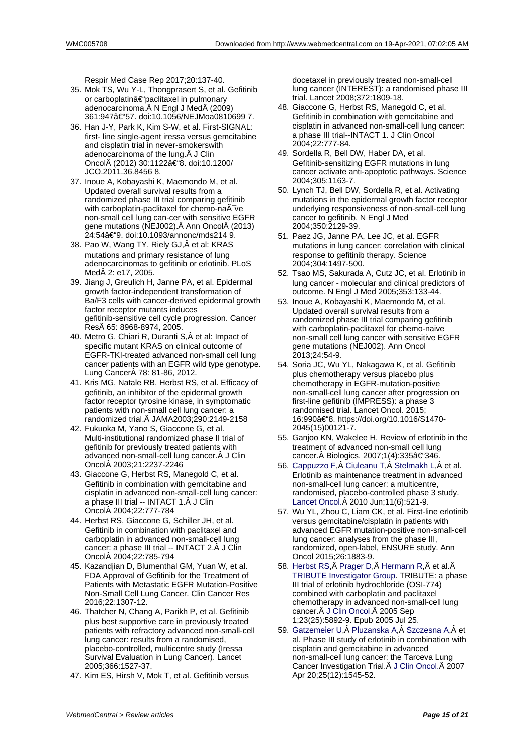Respir Med Case Rep 2017;20:137-40.

- 35. Mok TS, Wu Y-L, Thongprasert S, et al. Gefitinib or carboplatin–paclitaxel in pulmonary adenocarcinoma. N Engl J Med (2009) 361:947â€"57. doi:10.1056/NEJMoa0810699 7.
- 36. Han J-Y, Park K, Kim S-W, et al. First-SIGNAL: first- line single-agent iressa versus gemcitabine and cisplatin trial in never-smokerswith adenocarcinoma of the lung. $\hat{A}$  J Clin Oncol (2012) 30:1122†8. doi:10.1200/ JCO.2011.36.8456 8.
- 37. Inoue A, Kobayashi K, Maemondo M, et al. Updated overall survival results from a randomized phase III trial comparing gefitinib with carboplatin-paclitaxel for chemo-na $\tilde{A}$  ve non-small cell lung can-cer with sensitive EGFR gene mutations (NEJ002). Ann Oncol (2013) 24:54–9. doi:10.1093/annonc/mds214 9.
- 38. Pao W, Wang TY, Riely GJ, Â et al: KRAS mutations and primary resistance of lung adenocarcinomas to gefitinib or erlotinib. PLoS Med $\hat{A}$  2: e17, 2005.
- 39. Jiang J, Greulich H, Janne PA, et al. Epidermal growth factor-independent transformation of Ba/F3 cells with cancer-derived epidermal growth factor receptor mutants induces gefitinib-sensitive cell cycle progression. Cancer Res 65: 8968-8974, 2005.
- 40. Metro G, Chiari R, Duranti S, Â et al: Impact of specific mutant KRAS on clinical outcome of EGFR-TKI-treated advanced non-small cell lung cancer patients with an EGFR wild type genotype. Lung Cancer 78: 81-86, 2012.
- 41. Kris MG, Natale RB, Herbst RS, et al. Efficacy of gefitinib, an inhibitor of the epidermal growth factor receptor tyrosine kinase, in symptomatic patients with non-small cell lung cancer: a randomized trial. JAMA2003;290:2149-2158
- 42. Fukuoka M, Yano S, Giaccone G, et al. Multi-institutional randomized phase II trial of gefitinib for previously treated patients with advanced non-small-cell lung cancer. A J Clin OncolA 2003;21:2237-2246
- 43. Giaccone G, Herbst RS, Manegold C, et al. Gefitinib in combination with gemcitabine and cisplatin in advanced non-small-cell lung cancer: a phase III trial -- INTACT 1. J Clin Oncol 2004;22:777-784
- 44. Herbst RS, Giaccone G, Schiller JH, et al. Gefitinib in combination with paclitaxel and carboplatin in advanced non-small-cell lung cancer: a phase III trial -- INTACT 2. J Clin Oncol $\hat{A}$  2004;22:785-794
- 45. Kazandjian D, Blumenthal GM, Yuan W, et al. FDA Approval of Gefitinib for the Treatment of Patients with Metastatic EGFR Mutation-Positive Non-Small Cell Lung Cancer. Clin Cancer Res 2016;22:1307-12.
- 46. Thatcher N, Chang A, Parikh P, et al. Gefitinib plus best supportive care in previously treated patients with refractory advanced non-small-cell lung cancer: results from a randomised, placebo-controlled, multicentre study (Iressa Survival Evaluation in Lung Cancer). Lancet 2005;366:1527-37.
- 47. Kim ES, Hirsh V, Mok T, et al. Gefitinib versus

docetaxel in previously treated non-small-cell lung cancer (INTEREST): a randomised phase III trial. Lancet 2008;372:1809-18.

- 48. Giaccone G, Herbst RS, Manegold C, et al. Gefitinib in combination with gemcitabine and cisplatin in advanced non-small-cell lung cancer: a phase III trial--INTACT 1. J Clin Oncol 2004;22:777-84.
- 49. Sordella R, Bell DW, Haber DA, et al. Gefitinib-sensitizing EGFR mutations in lung cancer activate anti-apoptotic pathways. Science 2004;305:1163-7.
- 50. Lynch TJ, Bell DW, Sordella R, et al. Activating mutations in the epidermal growth factor receptor underlying responsiveness of non-small-cell lung cancer to gefitinib. N Engl J Med 2004;350:2129-39.
- 51. Paez JG, Janne PA, Lee JC, et al. EGFR mutations in lung cancer: correlation with clinical response to gefitinib therapy. Science 2004;304:1497-500.
- 52. Tsao MS, Sakurada A, Cutz JC, et al. Erlotinib in lung cancer - molecular and clinical predictors of outcome. N Engl J Med 2005;353:133-44.
- 53. Inoue A, Kobayashi K, Maemondo M, et al. Updated overall survival results from a randomized phase III trial comparing gefitinib with carboplatin-paclitaxel for chemo-naive non-small cell lung cancer with sensitive EGFR gene mutations (NEJ002). Ann Oncol 2013;24:54-9.
- 54. Soria JC, Wu YL, Nakagawa K, et al. Gefitinib plus chemotherapy versus placebo plus chemotherapy in EGFR-mutation-positive non-small-cell lung cancer after progression on first-line gefitinib (IMPRESS): a phase 3 randomised trial. Lancet Oncol. 2015; 16:990â€"8. https://doi.org/10.1016/S1470-2045(15)00121-7.
- 55. Ganjoo KN, Wakelee H. Review of erlotinib in the treatment of advanced non-small cell lung cancer. Biologics. 2007;1(4):335â€"346.
- 56. Cappuzzo F, Ciuleanu T, Stelmakh L, et al. Erlotinib as maintenance treatment in advanced non-small-cell lung cancer: a multicentre, randomised, placebo-controlled phase 3 study. Lancet Oncol.A 2010 Jun; 11(6): 521-9.
- 57. [Wu YL, Zhou](https://www.ncbi.nlm.nih.gov/pubmed/?term=Cappuzzo%20F%5BAuthor%5D&cauthor=true&cauthor_uid=20493771) [C, Liam CK,](https://www.ncbi.nlm.nih.gov/pubmed/?term=Ciuleanu%20T%5BAuthor%5D&cauthor=true&cauthor_uid=20493771) et [al. First-line](https://www.ncbi.nlm.nih.gov/pubmed/?term=Stelmakh%20L%5BAuthor%5D&cauthor=true&cauthor_uid=20493771) erlotinib versus gemcitabine/cisplatin in patients with advanced EGFR mutation-positive non-small-cell lung cancer: analyses from the phase III, [randomized, o](https://www.ncbi.nlm.nih.gov/pubmed/20493771)pen-label, ENSURE study. Ann Oncol 2015;26:1883-9.
- 58. Herbst RS, Prager D, Hermann R, et al.Â TRIBUTE Investigator Group. TRIBUTE: a phase III trial of erlotinib hydrochloride (OSI-774) combined with carboplatin and paclitaxel chemotherapy in advanced non-small-cell lung cancer. Â J C[lin Oncol.](https://www.ncbi.nlm.nih.gov/pubmed/?term=Prager%20D%5BAuthor%5D&cauthor=true&cauthor_uid=16043829) Â [2005 Sep](https://www.ncbi.nlm.nih.gov/pubmed/?term=Hermann%20R%5BAuthor%5D&cauthor=true&cauthor_uid=16043829) [1;23\(25\):5892-9. Epub 2005](https://www.ncbi.nlm.nih.gov/pubmed/?term=TRIBUTE%20Investigator%20Group%5BCorporate%20Author%5D) Jul 25.
- 59. Gatzemeier U, Pluzanska A, Szczesna A, et al. Phase III study of erlotinib in combination with cisplatin and gemcitabine in advanced non-smal[l-cell lung can](https://www.ncbi.nlm.nih.gov/pubmed/16043829)cer: the Tarceva Lung Cancer Investigation Trial. Â J Clin Oncol. Â 2007 [Apr 20;25\(12\):](https://www.ncbi.nlm.nih.gov/pubmed/?term=Gatzemeier%20U%5BAuthor%5D&cauthor=true&cauthor_uid=17442998)1[545-52.](https://www.ncbi.nlm.nih.gov/pubmed/?term=Pluzanska%20A%5BAuthor%5D&cauthor=true&cauthor_uid=17442998)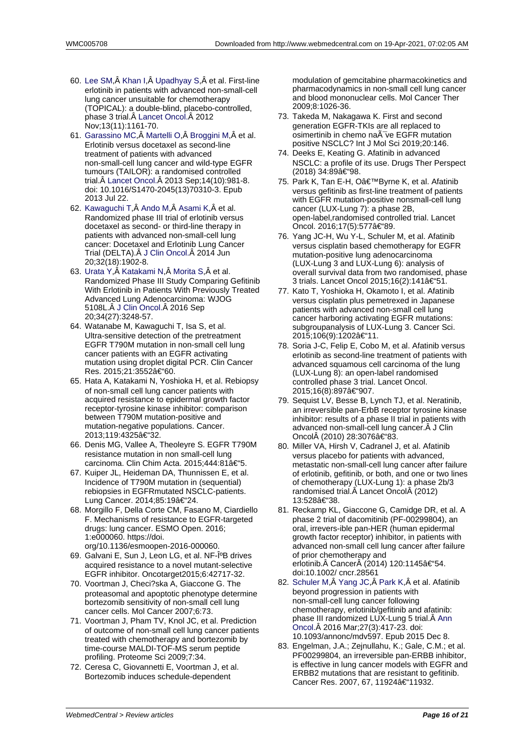- 60. Lee SM, Khan I, Upadhyay S, et al. First-line erlotinib in patients with advanced non-small-cell lung cancer unsuitable for chemotherapy (TOPICAL): a double-blind, placebo-controlled, phase 3 trial. Â Lancet Oncol. Â 2012 [Nov;13\(](https://www.ncbi.nlm.nih.gov/pubmed/?term=Lee%20SM%5BAuthor%5D&cauthor=true&cauthor_uid=23078958)11[\):1161-](https://www.ncbi.nlm.nih.gov/pubmed/?term=Khan%20I%5BAuthor%5D&cauthor=true&cauthor_uid=23078958)7[0.](https://www.ncbi.nlm.nih.gov/pubmed/?term=Upadhyay%20S%5BAuthor%5D&cauthor=true&cauthor_uid=23078958)
- 61. Garassino MC, A Martelli O, A Broggini M, A et al. Erlotinib versus docetaxel as second-line treatment of patients with advanced non-small-cell l[ung cancer an](https://www.ncbi.nlm.nih.gov/pubmed/23078958)d wild-type EGFR tumours (TAILOR): a randomised controlled [trial. Lancet O](https://www.ncbi.nlm.nih.gov/pubmed/?term=Garassino%20MC%5BAuthor%5D&cauthor=true&cauthor_uid=23883922)n[col. 2013](https://www.ncbi.nlm.nih.gov/pubmed/?term=Martelli%20O%5BAuthor%5D&cauthor=true&cauthor_uid=23883922) [Sep;14\(10\):9](https://www.ncbi.nlm.nih.gov/pubmed/?term=Broggini%20M%5BAuthor%5D&cauthor=true&cauthor_uid=23883922)81-8. doi: 10.1016/S1470-2045(13)70310-3. Epub 2013 Jul 22.
- 62. Kawaguchi T, Ando M, Asami K, et al. Randomized phase III trial of erlotinib versus docet[axel as second](https://www.ncbi.nlm.nih.gov/pubmed/23883922)- or third-line therapy in patients with advanced non-small-cell lung cancer: Docetaxel and Erlotinib Lung Cancer [Trial \(DELTA\)](https://www.ncbi.nlm.nih.gov/pubmed/?term=Kawaguchi%20T%5BAuthor%5D&cauthor=true&cauthor_uid=24841974). J Clin Oncol. 2014 Jun 20;32(18):1902-8.
- 63. Urata Y, Katakami N, Morita S, et al. Randomized Phase III Study Comparing Gefitinib With Erlotinib in Patients With Previously Treated Advanced Lung [Adenocarcino](https://www.ncbi.nlm.nih.gov/pubmed/24841974)ma: WJOG 5108L. J Clin Oncol. [2016 Sep](https://www.ncbi.nlm.nih.gov/pubmed/?term=Morita%20S%5BAuthor%5D&cauthor=true&cauthor_uid=27022112) [20;34\(2](https://www.ncbi.nlm.nih.gov/pubmed/?term=Urata%20Y%5BAuthor%5D&cauthor=true&cauthor_uid=27022112)7):[3248-57.](https://www.ncbi.nlm.nih.gov/pubmed/?term=Katakami%20N%5BAuthor%5D&cauthor=true&cauthor_uid=27022112)
- 64. Watanabe M, Kawaguchi T, Isa S, et al. Ultra-sensitive detection of the pretreatment EGFR T790M mutation in non-small cell lung cancer p[atients with a](https://www.ncbi.nlm.nih.gov/pubmed/27022112)n EGFR activating mutation using droplet digital PCR. Clin Cancer Res. 2015;21:3552–60.
- 65. Hata A, Katakami N, Yoshioka H, et al. Rebiopsy of non-small cell lung cancer patients with acquired resistance to epidermal growth factor receptor-tyrosine kinase inhibitor: comparison between T790M mutation-positive and mutation-negative populations. Cancer. 2013;119:4325–32.
- 66. Denis MG, Vallee A, Theoleyre S. EGFR T790M resistance mutation in non small-cell lung carcinoma. Clin Chim Acta. 2015;444:81a€"5.
- 67. Kuiper JL, Heideman DA, Thunnissen E, et al. Incidence of T790M mutation in (sequential) rebiopsies in EGFRmutated NSCLC-patients. Lung Cancer. 2014;85:19–24.
- 68. Morgillo F, Della Corte CM, Fasano M, Ciardiello F. Mechanisms of resistance to EGFR-targeted drugs: lung cancer. ESMO Open. 2016; 1:e000060. https://doi. org/10.1136/esmoopen-2016-000060.
- 69. Galvani E, Sun J, Leon LG, et al. NF-κB drives acquired resistance to a novel mutant-selective EGFR inhibitor. Oncotarget2015;6:42717-32.
- 70. Voortman J, Checi?ska A, Giaccone G. The proteasomal and apoptotic phenotype determine bortezomib sensitivity of non-small cell lung cancer cells. Mol Cancer 2007;6:73.
- 71. Voortman J, Pham TV, Knol JC, et al. Prediction of outcome of non-small cell lung cancer patients treated with chemotherapy and bortezomib by time-course MALDI-TOF-MS serum peptide profiling. Proteome Sci 2009;7:34.
- 72. Ceresa C, Giovannetti E, Voortman J, et al. Bortezomib induces schedule-dependent

modulation of gemcitabine pharmacokinetics and pharmacodynamics in non-small cell lung cancer and blood mononuclear cells. Mol Cancer Ther 2009;8:1026-36.

- 73. Takeda M, Nakagawa K. First and second generation EGFR-TKIs are all replaced to osimertinib in chemo naà ve EGFR mutation positive NSCLC? Int J Mol Sci 2019;20:146.
- 74. Deeks E, Keating G. Afatinib in advanced NSCLC: a profile of its use. Drugs Ther Perspect (2018) 34:89–98.
- 75. Park K, Tan E-H, O'Byrne K, et al. Afatinib versus gefitinib as first-line treatment of patients with EGFR mutation-positive nonsmall-cell lung cancer (LUX-Lung 7): a phase 2B, open-label,randomised controlled trial. Lancet Oncol. 2016;17(5):577–89.
- 76. Yang JC-H, Wu Y-L, Schuler M, et al. Afatinib versus cisplatin based chemotherapy for EGFR mutation-positive lung adenocarcinoma (LUX-Lung 3 and LUX-Lung 6): analysis of overall survival data from two randomised, phase 3 trials. Lancet Oncol 2015;16(2):141†51.
- 77. Kato T, Yoshioka H, Okamoto I, et al. Afatinib versus cisplatin plus pemetrexed in Japanese patients with advanced non-small cell lung cancer harboring activating EGFR mutations: subgroupanalysis of LUX-Lung 3. Cancer Sci. 2015;106(9):1202–11.
- 78. Soria J-C, Felip E, Cobo M, et al. Afatinib versus erlotinib as second-line treatment of patients with advanced squamous cell carcinoma of the lung (LUX-Lung 8): an open-label randomised controlled phase 3 trial. Lancet Oncol. 2015;16(8):897–907.
- 79. Sequist LV, Besse B, Lynch TJ, et al. Neratinib, an irreversible pan-ErbB receptor tyrosine kinase inhibitor: results of a phase II trial in patients with advanced non-small-cell lung cancer. Â J Clin Oncol (2010) 28:3076–83.
- 80. Miller VA, Hirsh V, Cadranel J, et al. Afatinib versus placebo for patients with advanced, metastatic non-small-cell lung cancer after failure of erlotinib, gefitinib, or both, and one or two lines of chemotherapy (LUX-Lung 1): a phase 2b/3 randomised trial. Lancet Oncol (2012) 13:528–38.
- 81. Reckamp KL, Giaccone G, Camidge DR, et al. A phase 2 trial of dacomitinib (PF-00299804), an oral, irrevers-ible pan-HER (human epidermal growth factor receptor) inhibitor, in patients with advanced non-small cell lung cancer after failure of prior chemotherapy and erlotinib. Ä Cancer Ä (2014) 120:1145†"54. doi:10.1002/ cncr.28561
- 82. Schuler M, Yang JC, Park K, et al. Afatinib beyond progression in patients with non-small-cell lung cancer following chemotherapy, erlotinib/gefitinib and afatinib: phase III randomized LUX-Lung 5 trial. Â Ann [Oncol. 20](https://www.ncbi.nlm.nih.gov/pubmed/?term=Schuler%20M%5BAuthor%5D&cauthor=true&cauthor_uid=26646759)1[6 Mar;27\(](https://www.ncbi.nlm.nih.gov/pubmed/?term=Yang%20JC%5BAuthor%5D&cauthor=true&cauthor_uid=26646759)3)[:417-23](https://www.ncbi.nlm.nih.gov/pubmed/?term=Park%20K%5BAuthor%5D&cauthor=true&cauthor_uid=26646759). doi: 10.1093/annonc/mdv597. Epub 2015 Dec 8.
- 83. Engelman, J.A.; Zejnullahu, K.; Gale, C.M.; et al. PF00299804, an irreversible pan-ERBB inhibitor, is effective in lung cancer models with E[GFR](https://www.ncbi.nlm.nih.gov/pubmed/26646759) and [ERBB2](https://www.ncbi.nlm.nih.gov/pubmed/26646759) mutations that are resistant to gefitinib. Cancer Res. 2007, 67, 11924†11932.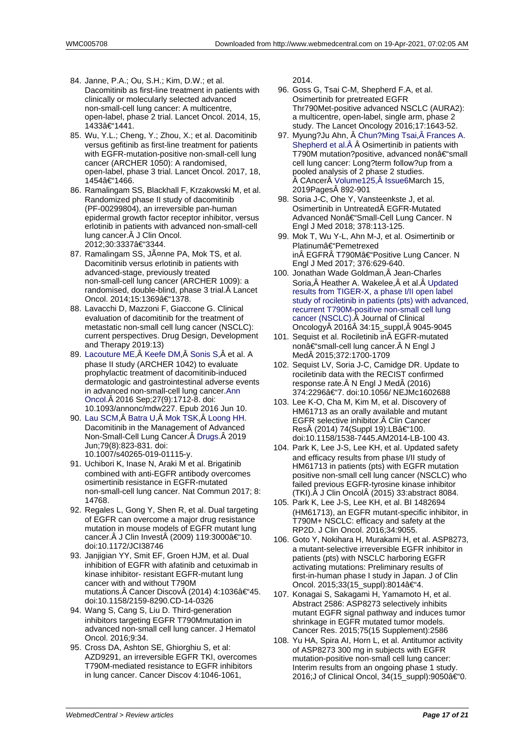- 84. Janne, P.A.; Ou, S.H.; Kim, D.W.; et al. Dacomitinib as first-line treatment in patients with clinically or molecularly selected advanced non-small-cell lung cancer: A multicentre, open-label, phase 2 trial. Lancet Oncol. 2014, 15, 1433–1441.
- 85. Wu, Y.L.; Cheng, Y.; Zhou, X.; et al. Dacomitinib versus gefitinib as first-line treatment for patients with EGFR-mutation-positive non-small-cell lung cancer (ARCHER 1050): A randomised, open-label, phase 3 trial. Lancet Oncol. 2017, 18, 1454–1466.
- 86. Ramalingam SS, Blackhall F, Krzakowski M, et al. Randomized phase II study of dacomitinib (PF-00299804), an irreversible pan-human epidermal growth factor receptor inhibitor, versus erlotinib in patients with advanced non-small-cell lung cancer. Â J Clin Oncol. 2012;30:3337–3344.
- 87. Ramalingam SS, JĤnne PA, Mok TS, et al. Dacomitinib versus erlotinib in patients with advanced-stage, previously treated non-small-cell lung cancer (ARCHER 1009): a randomised, double-blind, phase 3 trial. Â Lancet Oncol. 2014;15:1369–1378.
- 88. Lavacchi D, Mazzoni F, Giaccone G. Clinical evaluation of dacomitinib for the treatment of metastatic non-small cell lung cancer (NSCLC): current perspectives. Drug Design, Development and Therapy 2019:13)
- 89. Lacouture ME, Â Keefe DM, Â Sonis S, Â et al. A phase II study (ARCHER 1042) to evaluate prophylactic treatment of dacomitinib-induced dermatologic and gastrointestinal adverse events in advanced non-small-cell lung cancer.Ann [Oncol. 2016](https://www.ncbi.nlm.nih.gov/pubmed/?term=Lacouture%20ME%5BAuthor%5D&cauthor=true&cauthor_uid=27287210) S[ep;27\(9\):17](https://www.ncbi.nlm.nih.gov/pubmed/?term=Keefe%20DM%5BAuthor%5D&cauthor=true&cauthor_uid=27287210)1[2-8. doi:](https://www.ncbi.nlm.nih.gov/pubmed/?term=Sonis%20S%5BAuthor%5D&cauthor=true&cauthor_uid=27287210) 10.1093/annonc/mdw227. Epub 2016 Jun 10.
- 90. Lau SCM, Batra U, Mok TSK, Loong HH. Dacomitinib in the Management of Advanced Non-Small-Cell Lung Cancer. A Drugs. A [201](https://www.ncbi.nlm.nih.gov/pubmed/27287210)9 [Jun;79](https://www.ncbi.nlm.nih.gov/pubmed/27287210)(8):823-831. doi: 10.1007/s40265-019-01115-y.
- 91. [Uchibori K](https://www.ncbi.nlm.nih.gov/pubmed/?term=Lau%20SCM%5BAuthor%5D&cauthor=true&cauthor_uid=31069718), [Inase N,](https://www.ncbi.nlm.nih.gov/pubmed/?term=Batra%20U%5BAuthor%5D&cauthor=true&cauthor_uid=31069718) A[raki M et a](https://www.ncbi.nlm.nih.gov/pubmed/?term=Mok%20TSK%5BAuthor%5D&cauthor=true&cauthor_uid=31069718)l. [Brigatinib](https://www.ncbi.nlm.nih.gov/pubmed/?term=Loong%20HH%5BAuthor%5D&cauthor=true&cauthor_uid=31069718) combined with anti-EGFR antibody overcomes osimertinib resistance in EGFR[-mutate](https://www.ncbi.nlm.nih.gov/pubmed/31069718)d non-small-cell lung cancer. Nat Commun 2017; 8: 14768.
- 92. Regales L, Gong Y, Shen R, et al. Dual targeting of EGFR can overcome a major drug resistance mutation in mouse models of EGFR mutant lung cancer. A J Clin InvestA (2009) 119:3000 $\hat{\mathbf{a}} \in \mathcal{A}$ 10. doi:10.1172/JCI38746
- 93. Janjigian YY, Smit EF, Groen HJM, et al. Dual inhibition of EGFR with afatinib and cetuximab in kinase inhibitor- resistant EGFR-mutant lung cancer with and without T790M mutations. $Å$  Cancer Discov $Å$  (2014) 4:1036 $â€$ "45. doi:10.1158/2159-8290.CD-14-0326
- 94. Wang S, Cang S, Liu D. Third-generation inhibitors targeting EGFR T790Mmutation in advanced non-small cell lung cancer. J Hematol Oncol. 2016;9:34.
- 95. Cross DA, Ashton SE, Ghiorghiu S, et al: AZD9291, an irreversible EGFR TKI, overcomes T790M-mediated resistance to EGFR inhibitors in lung cancer. Cancer Discov 4:1046-1061,

2014.

- 96. Goss G, Tsai C-M, Shepherd F.A, et al. Osimertinib for pretreated EGFR Thr790Met-positive advanced NSCLC (AURA2): a multicentre, open-label, single arm, phase 2 study. The Lancet Oncology 2016;17:1643-52.
- 97. Myung?Ju Ahn, Â Chun?Ming Tsai, Â Frances A. Shepherd et al. Â Â Osimertinib in patients with T790M mutation?positive, advanced non–small cell lung cancer: Long?term follow?up from a pooled analysis of 2 phase 2 studies. CAncer Volume125, Â Issue6Marc[h 15,](https://acsjournals.onlinelibrary.wiley.com/action/doSearch?ContribAuthorStored=Shepherd%2C+Frances+A) [2019Pages 892-](https://acsjournals.onlinelibrary.wiley.com/action/doSearch?ContribAuthorStored=Shepherd%2C+Frances+A)901
- 98. Soria J-C, Ohe Y, Vansteenkste J, et al. Osimertinib in Untreated EGFR-Mutated Advanced Nonâ€"Small-Cell Lung Cancer. N Engl J Med [2018; 378:113-125.](https://acsjournals.onlinelibrary.wiley.com/toc/10970142/2019/125/6)
- 99. Mok T, Wu Y-L, Ahn M-J, et al. Osimertinib or Platinum–Pemetrexed in EGFR T790M–Positive Lung Cancer. N Engl J Med 2017; 376:629-640.
- 100. Jonathan Wade Goldman, A Jean-Charles Soria, Â Heather A. Wakelee, Â et al. Â Updated results from TIGER-X, a phase I/II open label study of rociletinib in patients (pts) with advanced, recurrent T790M-positive non-small cell lung cancer (NSCLC). A Journal of Clinical Oncology 2016 Â 34:15\_suppl, Â 904[5-9045](https://ascopubs.org/doi/abs/10.1200/JCO.2016.34.15_suppl.9045)
- 101. [Sequist et al. Rociletinib in EGFR-mutated](https://ascopubs.org/doi/abs/10.1200/JCO.2016.34.15_suppl.9045) nonâ $\epsilon$ "small-cell lung cancer. Ä N Engl J Med A 2015;372:1700-1709
- 102. [Sequist LV, Soria](https://ascopubs.org/doi/abs/10.1200/JCO.2016.34.15_suppl.9045) J-C, Camidge DR. Update to rociletinib data with the RECIST confirmed response rate. N Engl J Med (2016) 374:2296–7. doi:10.1056/ NEJMc1602688
- 103. Lee K-O, Cha M, Kim M, et al. Discovery of HM61713 as an orally available and mutant EGFR selective inhibitor. A Clin Cancer Res (2014) 74(Suppl 19):LB–100. doi:10.1158/1538-7445.AM2014-LB-100 43.
- 104. Park K, Lee J-S, Lee KH, et al. Updated safety and efficacy results from phase I/II study of HM61713 in patients (pts) with EGFR mutation positive non-small cell lung cancer (NSCLC) who failed previous EGFR-tyrosine kinase inhibitor (TKI). J Clin Oncol (2015) 33: abstract 8084.
- 105. Park K, Lee J-S, Lee KH, et al. BI 1482694 (HM61713), an EGFR mutant-specific inhibitor, in T790M+ NSCLC: efficacy and safety at the RP2D. J Clin Oncol. 2016;34:9055.
- 106. Goto Y, Nokihara H, Murakami H, et al. ASP8273, a mutant-selective irreversible EGFR inhibitor in patients (pts) with NSCLC harboring EGFR activating mutations: Preliminary results of first-in-human phase I study in Japan. J of Clin Oncol. 2015;33(15\_suppl):8014–4.
- 107. Konagai S, Sakagami H, Yamamoto H, et al. Abstract 2586: ASP8273 selectively inhibits mutant EGFR signal pathway and induces tumor shrinkage in EGFR mutated tumor models. Cancer Res. 2015;75(15 Supplement):2586
- 108. Yu HA, Spira AI, Horn L, et al. Antitumor activity of ASP8273 300 mg in subjects with EGFR mutation-positive non-small cell lung cancer: Interim results from an ongoing phase 1 study. 2016;J of Clinical Oncol, 34(15\_suppl):9050–0.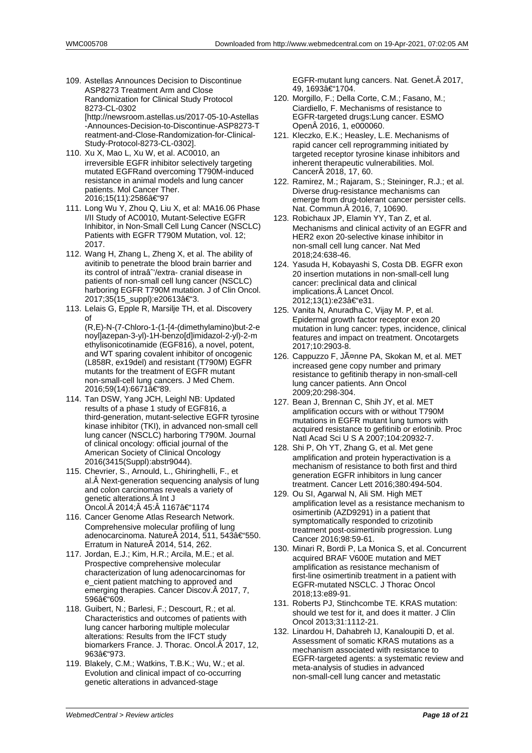- 109. Astellas Announces Decision to Discontinue ASP8273 Treatment Arm and Close Randomization for Clinical Study Protocol 8273-CL-0302 [http://newsroom.astellas.us/2017-05-10-Astellas -Announces-Decision-to-Discontinue-ASP8273-T reatment-and-Close-Randomization-for-Clinical-Study-Protocol-8273-CL-0302].
- 110. Xu X, Mao L, Xu W, et al. AC0010, an irreversible EGFR inhibitor selectively targeting mutated EGFRand overcoming T790M-induced resistance in animal models and lung cancer patients. Mol Cancer Ther. 2016;15(11):2586–97
- 111. Long Wu Y, Zhou Q, Liu X, et al: MA16.06 Phase I/II Study of AC0010, Mutant-Selective EGFR Inhibitor, in Non-Small Cell Lung Cancer (NSCLC) Patients with EGFR T790M Mutation, vol. 12; 2017.
- 112. Wang H, Zhang L, Zheng X, et al. The ability of avitinib to penetrate the blood brain barrier and its control of intraâ<sup>2</sup>'/extra- cranial disease in patients of non-small cell lung cancer (NSCLC) harboring EGFR T790M mutation. J of Clin Oncol. 2017;35(15\_suppl):e20613–3.
- 113. Lelais G, Epple R, Marsilje TH, et al. Discovery of (R,E)-N-(7-Chloro-1-(1-[4-(dimethylamino)but-2-e noyl]azepan-3-yl)-1H-benzo[d]imidazol-2-yl)-2-m ethylisonicotinamide (EGF816), a novel, potent, and WT sparing covalent inhibitor of oncogenic (L858R, ex19del) and resistant (T790M) EGFR mutants for the treatment of EGFR mutant non-small-cell lung cancers. J Med Chem. 2016;59(14):6671〓89.
- 114. Tan DSW, Yang JCH, Leighl NB: Updated results of a phase 1 study of EGF816, a third-generation, mutant-selective EGFR tyrosine kinase inhibitor (TKI), in advanced non-small cell lung cancer (NSCLC) harboring T790M. Journal of clinical oncology: official journal of the American Society of Clinical Oncology 2016(3415(Suppl):abstr9044).
- 115. Chevrier, S., Arnould, L., Ghiringhelli, F., et al. Â Next-generation sequencing analysis of lung and colon carcinomas reveals a variety of genetic alterations. Â Int J Oncol. 2014; 45: 1167–1174
- 116. Cancer Genome Atlas Research Network. Comprehensive molecular profiling of lung adenocarcinoma. Nature 2014, 511, 543†550. Erratum in Nature 2014, 514, 262.
- 117. Jordan, E.J.; Kim, H.R.; Arcila, M.E.; et al. Prospective comprehensive molecular characterization of lung adenocarcinomas for e\_cient patient matching to approved and emerging therapies. Cancer Discov. Â 2017, 7, 596–609.
- 118. Guibert, N.; Barlesi, F.; Descourt, R.; et al. Characteristics and outcomes of patients with lung cancer harboring multiple molecular alterations: Results from the IFCT study biomarkers France. J. Thorac. Oncol. A 2017, 12, 963–973.
- 119. Blakely, C.M.; Watkins, T.B.K.; Wu, W.; et al. Evolution and clinical impact of co-occurring genetic alterations in advanced-stage

EGFR-mutant lung cancers. Nat. Genet. A 2017, 49, 1693–1704.

- 120. Morgillo, F.; Della Corte, C.M.; Fasano, M.; Ciardiello, F. Mechanisms of resistance to EGFR-targeted drugs:Lung cancer. ESMO Open 2016, 1, e000060.
- 121. Kleczko, E.K.; Heasley, L.E. Mechanisms of rapid cancer cell reprogramming initiated by targeted receptor tyrosine kinase inhibitors and inherent therapeutic vulnerabilities. Mol. Cancer 2018, 17, 60.
- 122. Ramirez, M.; Rajaram, S.; Steininger, R.J.; et al. Diverse drug-resistance mechanisms can emerge from drug-tolerant cancer persister cells. Nat. Commun. Â 2016, 7, 10690.
- 123. Robichaux JP, Elamin YY, Tan Z, et al. Mechanisms and clinical activity of an EGFR and HER2 exon 20-selective kinase inhibitor in non-small cell lung cancer. Nat Med 2018;24:638-46.
- 124. Yasuda H, Kobayashi S, Costa DB. EGFR exon 20 insertion mutations in non-small-cell lung cancer: preclinical data and clinical implications. Â Lancet Oncol. 2012;13(1):e23–e31.
- 125. Vanita N, Anuradha C, Vijay M. P, et al. Epidermal growth factor receptor exon 20 mutation in lung cancer: types, incidence, clinical features and impact on treatment. Oncotargets 2017;10:2903-8.
- 126. Cappuzzo F, Jänne PA, Skokan M, et al. MET increased gene copy number and primary resistance to gefitinib therapy in non-small-cell lung cancer patients. Ann Oncol 2009;20:298-304.
- 127. Bean J, Brennan C, Shih JY, et al. MET amplification occurs with or without T790M mutations in EGFR mutant lung tumors with acquired resistance to gefitinib or erlotinib. Proc Natl Acad Sci U S A 2007;104:20932-7.
- 128. Shi P, Oh YT, Zhang G, et al. Met gene amplification and protein hyperactivation is a mechanism of resistance to both first and third generation EGFR inhibitors in lung cancer treatment. Cancer Lett 2016;380:494-504.
- 129. Ou SI, Agarwal N, Ali SM. High MET amplification level as a resistance mechanism to osimertinib (AZD9291) in a patient that symptomatically responded to crizotinib treatment post-osimertinib progression. Lung Cancer 2016;98:59-61.
- 130. Minari R, Bordi P, La Monica S, et al. Concurrent acquired BRAF V600E mutation and MET amplification as resistance mechanism of first-line osimertinib treatment in a patient with EGFR-mutated NSCLC. J Thorac Oncol 2018;13:e89-91.
- 131. Roberts PJ, Stinchcombe TE. KRAS mutation: should we test for it, and does it matter. J Clin Oncol 2013;31:1112-21.
- 132. Linardou H, Dahabreh IJ, Kanaloupiti D, et al. Assessment of somatic KRAS mutations as a mechanism associated with resistance to EGFR-targeted agents: a systematic review and meta-analysis of studies in advanced non-small-cell lung cancer and metastatic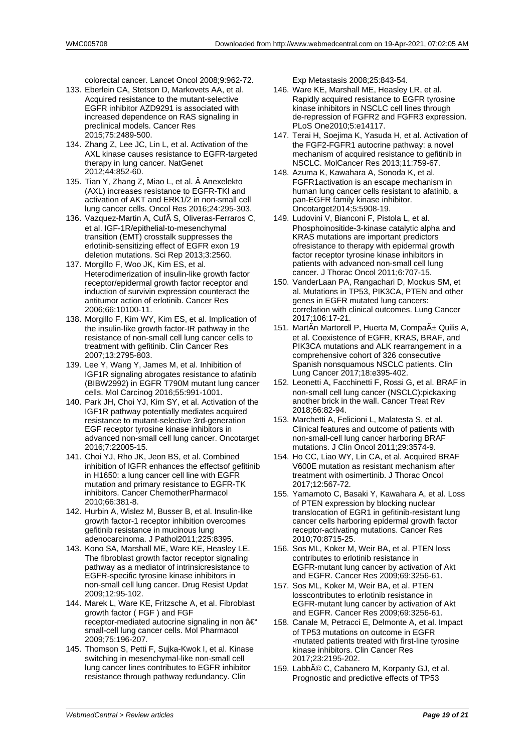colorectal cancer. Lancet Oncol 2008;9:962-72.

- 133. Eberlein CA, Stetson D, Markovets AA, et al. Acquired resistance to the mutant-selective EGFR inhibitor AZD9291 is associated with increased dependence on RAS signaling in preclinical models. Cancer Res 2015;75:2489-500.
- 134. Zhang Z, Lee JC, Lin L, et al. Activation of the AXL kinase causes resistance to EGFR-targeted therapy in lung cancer. NatGenet 2012;44:852-60.
- 135. Tian Y, Zhang Z, Miao L, et al. Â Anexelekto (AXL) increases resistance to EGFR-TKI and activation of AKT and ERK1/2 in non-small cell lung cancer cells. Oncol Res 2016;24:295-303.
- 136. Vazquez-Martin A, Cufà S, Oliveras-Ferraros C, et al. IGF-1R/epithelial-to-mesenchymal transition (EMT) crosstalk suppresses the erlotinib-sensitizing effect of EGFR exon 19 deletion mutations. Sci Rep 2013;3:2560.
- 137. Morgillo F, Woo JK, Kim ES, et al. Heterodimerization of insulin-like growth factor receptor/epidermal growth factor receptor and induction of survivin expression counteract the antitumor action of erlotinib. Cancer Res 2006;66:10100-11.
- 138. Morgillo F, Kim WY, Kim ES, et al. Implication of the insulin-like growth factor-IR pathway in the resistance of non-small cell lung cancer cells to treatment with gefitinib. Clin Cancer Res 2007;13:2795-803.
- 139. Lee Y, Wang Y, James M, et al. Inhibition of IGF1R signaling abrogates resistance to afatinib (BIBW2992) in EGFR T790M mutant lung cancer cells. Mol Carcinog 2016;55:991-1001.
- 140. Park JH, Choi YJ, Kim SY, et al. Activation of the IGF1R pathway potentially mediates acquired resistance to mutant-selective 3rd-generation EGF receptor tyrosine kinase inhibitors in advanced non-small cell lung cancer. Oncotarget 2016;7:22005-15.
- 141. Choi YJ, Rho JK, Jeon BS, et al. Combined inhibition of IGFR enhances the effectsof gefitinib in H1650: a lung cancer cell line with EGFR mutation and primary resistance to EGFR-TK inhibitors. Cancer ChemotherPharmacol 2010;66:381-8.
- 142. Hurbin A, Wislez M, Busser B, et al. Insulin-like growth factor-1 receptor inhibition overcomes gefitinib resistance in mucinous lung adenocarcinoma. J Pathol2011;225:8395.
- 143. Kono SA, Marshall ME, Ware KE, Heasley LE. The fibroblast growth factor receptor signaling pathway as a mediator of intrinsicresistance to EGFR-specific tyrosine kinase inhibitors in non-small cell lung cancer. Drug Resist Updat 2009;12:95-102.
- 144. Marek L, Ware KE, Fritzsche A, et al. Fibroblast growth factor ( FGF ) and FGF receptor-mediated autocrine signaling in non  $\hat{a}\in$ " small-cell lung cancer cells. Mol Pharmacol 2009;75:196-207.
- 145. Thomson S, Petti F, Sujka-Kwok I, et al. Kinase switching in mesenchymal-like non-small cell lung cancer lines contributes to EGFR inhibitor resistance through pathway redundancy. Clin

Exp Metastasis 2008;25:843-54.

- 146. Ware KE, Marshall ME, Heasley LR, et al. Rapidly acquired resistance to EGFR tyrosine kinase inhibitors in NSCLC cell lines through de-repression of FGFR2 and FGFR3 expression. PLoS One2010;5:e14117.
- 147. Terai H, Soeiima K, Yasuda H, et al. Activation of the FGF2-FGFR1 autocrine pathway: a novel mechanism of acquired resistance to gefitinib in NSCLC. MolCancer Res 2013;11:759-67.
- 148. Azuma K, Kawahara A, Sonoda K, et al. FGFR1activation is an escape mechanism in human lung cancer cells resistant to afatinib, a pan-EGFR family kinase inhibitor. Oncotarget2014;5:5908-19.
- 149. Ludovini V, Bianconi F, Pistola L, et al. Phosphoinositide-3-kinase catalytic alpha and KRAS mutations are important predictors ofresistance to therapy with epidermal growth factor receptor tyrosine kinase inhibitors in patients with advanced non-small cell lung cancer. J Thorac Oncol 2011;6:707-15.
- 150. VanderLaan PA, Rangachari D, Mockus SM, et al. Mutations in TP53, PIK3CA, PTEN and other genes in EGFR mutated lung cancers: correlation with clinical outcomes. Lung Cancer 2017;106:17-21.
- 151. MartÃn Martorell P, Huerta M, Compañ Quilis A, et al. Coexistence of EGFR, KRAS, BRAF, and PIK3CA mutations and ALK rearrangement in a comprehensive cohort of 326 consecutive Spanish nonsquamous NSCLC patients. Clin Lung Cancer 2017;18:e395-402.
- 152. Leonetti A, Facchinetti F, Rossi G, et al. BRAF in non-small cell lung cancer (NSCLC):pickaxing another brick in the wall. Cancer Treat Rev 2018;66:82-94.
- 153. Marchetti A, Felicioni L, Malatesta S, et al. Clinical features and outcome of patients with non-small-cell lung cancer harboring BRAF mutations. J Clin Oncol 2011;29:3574-9.
- 154. Ho CC, Liao WY, Lin CA, et al. Acquired BRAF V600E mutation as resistant mechanism after treatment with osimertinib. J Thorac Oncol 2017;12:567-72.
- 155. Yamamoto C, Basaki Y, Kawahara A, et al. Loss of PTEN expression by blocking nuclear translocation of EGR1 in gefitinib-resistant lung cancer cells harboring epidermal growth factor receptor-activating mutations. Cancer Res 2010;70:8715-25.
- 156. Sos ML, Koker M, Weir BA, et al. PTEN loss contributes to erlotinib resistance in EGFR-mutant lung cancer by activation of Akt and EGFR. Cancer Res 2009;69:3256-61.
- 157. Sos ML, Koker M, Weir BA, et al. PTEN losscontributes to erlotinib resistance in EGFR-mutant lung cancer by activation of Akt and EGFR. Cancer Res 2009;69:3256-61.
- 158. Canale M, Petracci E, Delmonte A, et al. Impact of TP53 mutations on outcome in EGFR -mutated patients treated with first-line tyrosine kinase inhibitors. Clin Cancer Res 2017;23:2195-202.
- 159. Labbé C, Cabanero M, Korpanty GJ, et al. Prognostic and predictive effects of TP53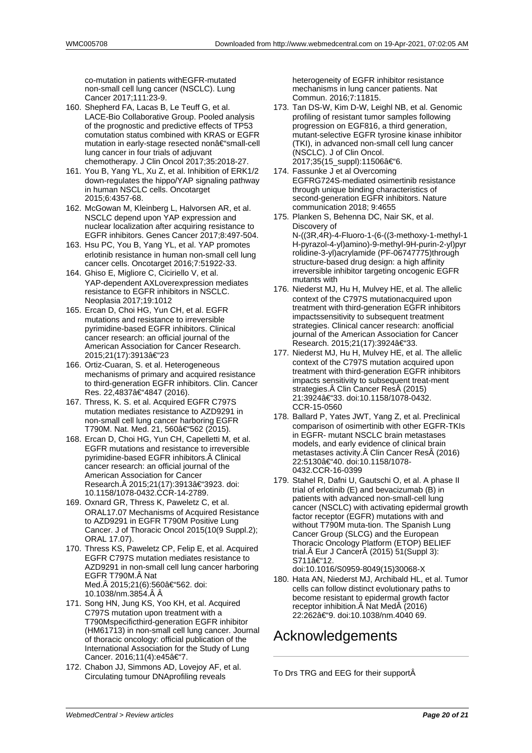co-mutation in patients withEGFR-mutated non-small cell lung cancer (NSCLC). Lung Cancer 2017;111:23-9.

- 160. Shepherd FA, Lacas B, Le Teuff G, et al. LACE-Bio Collaborative Group. Pooled analysis of the prognostic and predictive effects of TP53 comutation status combined with KRAS or EGFR mutation in early-stage resected nonâ€"small-cell lung cancer in four trials of adjuvant chemotherapy. J Clin Oncol 2017;35:2018-27.
- 161. You B, Yang YL, Xu Z, et al. Inhibition of ERK1/2 down-regulates the hippo/YAP signaling pathway in human NSCLC cells. Oncotarget 2015;6:4357-68.
- 162. McGowan M, Kleinberg L, Halvorsen AR, et al. NSCLC depend upon YAP expression and nuclear localization after acquiring resistance to EGFR inhibitors. Genes Cancer 2017;8:497-504.
- 163. Hsu PC, You B, Yang YL, et al. YAP promotes erlotinib resistance in human non-small cell lung cancer cells. Oncotarget 2016;7:51922-33.
- 164. Ghiso E, Migliore C, Ciciriello V, et al. YAP-dependent AXLoverexpression mediates resistance to EGFR inhibitors in NSCLC. Neoplasia 2017;19:1012
- 165. Ercan D, Choi HG, Yun CH, et al. EGFR mutations and resistance to irreversible pyrimidine-based EGFR inhibitors. Clinical cancer research: an official journal of the American Association for Cancer Research. 2015;21(17):3913–23
- 166. Ortiz-Cuaran, S. et al. Heterogeneous mechanisms of primary and acquired resistance to third-generation EGFR inhibitors. Clin. Cancer Res. 22,4837–4847 (2016).
- 167. Thress, K. S. et al. Acquired EGFR C797S mutation mediates resistance to AZD9291 in non-small cell lung cancer harboring EGFR T790M. Nat. Med. 21, 560†562 (2015).
- 168. Ercan D, Choi HG, Yun CH, Capelletti M, et al. EGFR mutations and resistance to irreversible pyrimidine-based EGFR inhibitors. Â Clinical cancer research: an official journal of the American Association for Cancer Research. 2015;21(17):3913–3923. doi: 10.1158/1078-0432.CCR-14-2789.
- 169. Oxnard GR, Thress K, Paweletz C, et al. ORAL17.07 Mechanisms of Acquired Resistance to AZD9291 in EGFR T790M Positive Lung Cancer. J of Thoracic Oncol 2015(10(9 Suppl.2); ORAL 17.07).
- 170. Thress KS, Paweletz CP, Felip E, et al. Acquired EGFR C797S mutation mediates resistance to AZD9291 in non-small cell lung cancer harboring EGFR T790M. Nat Med. 2015:21(6):560–562. doi: 10.1038/nm.3854.
- 171. Song HN, Jung KS, Yoo KH, et al. Acquired C797S mutation upon treatment with a T790Mspecificthird-generation EGFR inhibitor (HM61713) in non-small cell lung cancer. Journal of thoracic oncology: official publication of the International Association for the Study of Lung Cancer. 2016;11(4):e45â€"7.
- 172. Chabon JJ, Simmons AD, Lovejoy AF, et al. Circulating tumour DNAprofiling reveals

heterogeneity of EGFR inhibitor resistance mechanisms in lung cancer patients. Nat Commun. 2016;7:11815.

- 173. Tan DS-W, Kim D-W, Leighl NB, et al. Genomic profiling of resistant tumor samples following progression on EGF816, a third generation, mutant-selective EGFR tyrosine kinase inhibitor (TKI), in advanced non-small cell lung cancer (NSCLC). J of Clin Oncol. 2017;35(15\_suppl):11506–6.
- 174. Fassunke J et al Overcoming EGFRG724S-mediated osimertinib resistance through unique binding characteristics of second-generation EGFR inhibitors. Nature communication 2018; 9:4655
- 175. Planken S, Behenna DC, Nair SK, et al. Discovery of N-((3R,4R)-4-Fluoro-1-(6-((3-methoxy-1-methyl-1 H-pyrazol-4-yl)amino)-9-methyl-9H-purin-2-yl)pyr rolidine-3-yl)acrylamide (PF-06747775)through structure-based drug design: a high affinity irreversible inhibitor targeting oncogenic EGFR mutants with
- 176. Niederst MJ, Hu H, Mulvey HE, et al. The allelic context of the C797S mutationacquired upon treatment with third-generation EGFR inhibitors impactssensitivity to subsequent treatment strategies. Clinical cancer research: anofficial journal of the American Association for Cancer Research. 2015;21(17):3924–33.
- 177. Niederst MJ, Hu H, Mulvey HE, et al. The allelic context of the C797S mutation acquired upon treatment with third-generation EGFR inhibitors impacts sensitivity to subsequent treat-ment strategies. Clin Cancer Res (2015) 21:3924â€"33. doi:10.1158/1078-0432. CCR-15-0560
- 178. Ballard P, Yates JWT, Yang Z, et al. Preclinical comparison of osimertinib with other EGFR-TKIs in EGFR- mutant NSCLC brain metastases models, and early evidence of clinical brain metastases activity. Clin Cancer Res (2016) 22:5130–40. doi:10.1158/1078-0432.CCR-16-0399
- 179. Stahel R, Dafni U, Gautschi O, et al. A phase II trial of erlotinib (E) and bevacizumab (B) in patients with advanced non-small-cell lung cancer (NSCLC) with activating epidermal growth factor receptor (EGFR) mutations with and without T790M muta-tion. The Spanish Lung Cancer Group (SLCG) and the European Thoracic Oncology Platform (ETOP) BELIEF trial. Eur J Cancer (2015) 51(Suppl 3): S711–12. doi:10.1016/S0959-8049(15)30068-X
- 180. Hata AN, Niederst MJ, Archibald HL, et al. Tumor cells can follow distinct evolutionary paths to become resistant to epidermal growth factor receptor inhibition. A Nat MedA (2016) 22:262–9. doi:10.1038/nm.4040 69.

## Acknowledgements

To Drs TRG and EEG for their support